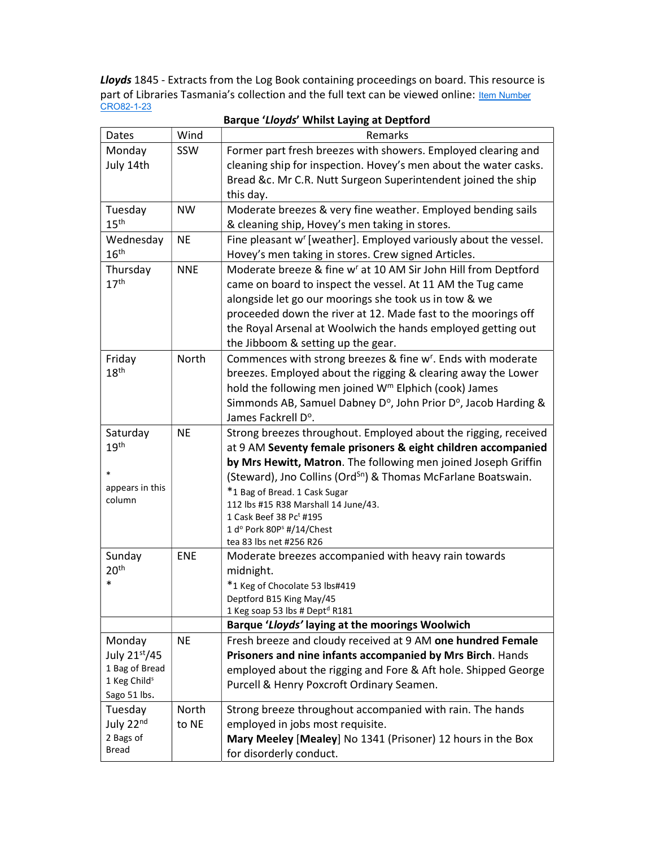Lloyds 1845 - Extracts from the Log Book containing proceedings on board. This resource is part of Libraries Tasmania's collection and the full text can be viewed online: Item Number CRO82-1-23

|                              |            | barque <i>Lioyus</i> writist Laying at Deptroitu                           |
|------------------------------|------------|----------------------------------------------------------------------------|
| Dates                        | Wind       | Remarks                                                                    |
| Monday                       | SSW        | Former part fresh breezes with showers. Employed clearing and              |
| July 14th                    |            | cleaning ship for inspection. Hovey's men about the water casks.           |
|                              |            | Bread &c. Mr C.R. Nutt Surgeon Superintendent joined the ship              |
|                              |            | this day.                                                                  |
| Tuesday                      | <b>NW</b>  | Moderate breezes & very fine weather. Employed bending sails               |
| 15 <sup>th</sup>             |            | & cleaning ship, Hovey's men taking in stores.                             |
| Wednesday                    | <b>NE</b>  | Fine pleasant w' [weather]. Employed variously about the vessel.           |
| 16 <sup>th</sup>             |            | Hovey's men taking in stores. Crew signed Articles.                        |
| Thursday                     | <b>NNE</b> | Moderate breeze & fine w <sup>r</sup> at 10 AM Sir John Hill from Deptford |
| 17 <sup>th</sup>             |            | came on board to inspect the vessel. At 11 AM the Tug came                 |
|                              |            | alongside let go our moorings she took us in tow & we                      |
|                              |            | proceeded down the river at 12. Made fast to the moorings off              |
|                              |            | the Royal Arsenal at Woolwich the hands employed getting out               |
|                              |            | the Jibboom & setting up the gear.                                         |
| Friday                       | North      | Commences with strong breezes & fine w <sup>r</sup> . Ends with moderate   |
| 18 <sup>th</sup>             |            | breezes. Employed about the rigging & clearing away the Lower              |
|                              |            | hold the following men joined W <sup>m</sup> Elphich (cook) James          |
|                              |            | Simmonds AB, Samuel Dabney D°, John Prior D°, Jacob Harding &              |
|                              |            |                                                                            |
|                              |            | James Fackrell D°.                                                         |
| Saturday<br>19 <sup>th</sup> | <b>NE</b>  | Strong breezes throughout. Employed about the rigging, received            |
|                              |            | at 9 AM Seventy female prisoners & eight children accompanied              |
| $\ast$                       |            | by Mrs Hewitt, Matron. The following men joined Joseph Griffin             |
| appears in this              |            | (Steward), Jno Collins (Ord <sup>Sn</sup> ) & Thomas McFarlane Boatswain.  |
| column                       |            | *1 Bag of Bread. 1 Cask Sugar<br>112 lbs #15 R38 Marshall 14 June/43.      |
|                              |            | 1 Cask Beef 38 Pct #195                                                    |
|                              |            | 1 d° Pork 80P <sup>s</sup> #/14/Chest                                      |
|                              |            | tea 83 lbs net #256 R26                                                    |
| Sunday                       | <b>ENE</b> | Moderate breezes accompanied with heavy rain towards                       |
| 20 <sup>th</sup>             |            | midnight.                                                                  |
| $\ast$                       |            | *1 Keg of Chocolate 53 lbs#419                                             |
|                              |            | Deptford B15 King May/45                                                   |
|                              |            | 1 Keg soap 53 lbs # Dept <sup>d</sup> R181                                 |
|                              |            | Barque 'Lloyds' laying at the moorings Woolwich                            |
| Monday                       | <b>NE</b>  | Fresh breeze and cloudy received at 9 AM one hundred Female                |
| July 21st/45                 |            | Prisoners and nine infants accompanied by Mrs Birch. Hands                 |
| 1 Bag of Bread               |            | employed about the rigging and Fore & Aft hole. Shipped George             |
| 1 Keg Child <sup>s</sup>     |            | Purcell & Henry Poxcroft Ordinary Seamen.                                  |
| Sago 51 lbs.                 |            |                                                                            |
| Tuesday                      | North      | Strong breeze throughout accompanied with rain. The hands                  |
| July 22nd                    | to NE      | employed in jobs most requisite.                                           |
| 2 Bags of                    |            | Mary Meeley [Mealey] No 1341 (Prisoner) 12 hours in the Box                |
| <b>Bread</b>                 |            | for disorderly conduct.                                                    |

Barque 'Lloyds' Whilst Laying at Deptford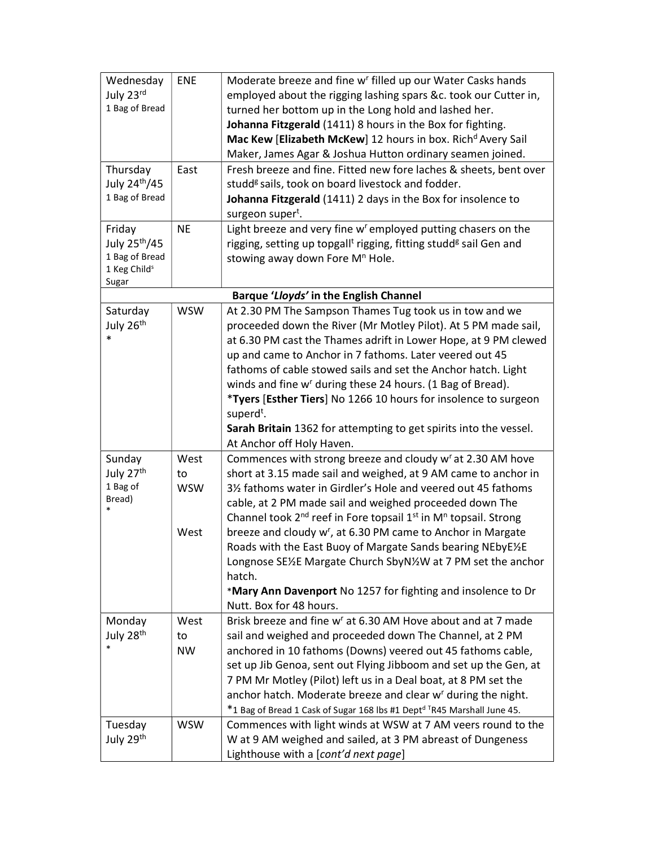| Wednesday                                  | <b>ENE</b> | Moderate breeze and fine w <sup>r</sup> filled up our Water Casks hands                       |
|--------------------------------------------|------------|-----------------------------------------------------------------------------------------------|
| July 23rd                                  |            | employed about the rigging lashing spars &c. took our Cutter in,                              |
| 1 Bag of Bread                             |            | turned her bottom up in the Long hold and lashed her.                                         |
|                                            |            | Johanna Fitzgerald (1411) 8 hours in the Box for fighting.                                    |
|                                            |            | Mac Kew [Elizabeth McKew] 12 hours in box. Rich <sup>d</sup> Avery Sail                       |
|                                            |            | Maker, James Agar & Joshua Hutton ordinary seamen joined.                                     |
| Thursday                                   | East       | Fresh breeze and fine. Fitted new fore laches & sheets, bent over                             |
| July 24 <sup>th</sup> /45                  |            | studd <sup>g</sup> sails, took on board livestock and fodder.                                 |
| 1 Bag of Bread                             |            |                                                                                               |
|                                            |            | Johanna Fitzgerald (1411) 2 days in the Box for insolence to                                  |
|                                            |            | surgeon super <sup>t</sup> .<br>Light breeze and very fine w' employed putting chasers on the |
| Friday                                     | <b>NE</b>  |                                                                                               |
| July 25 <sup>th</sup> /45                  |            | rigging, setting up topgall <sup>t</sup> rigging, fitting studd <sup>g</sup> sail Gen and     |
| 1 Bag of Bread<br>1 Keg Child <sup>s</sup> |            | stowing away down Fore M <sup>n</sup> Hole.                                                   |
| Sugar                                      |            |                                                                                               |
|                                            |            | Barque 'Lloyds' in the English Channel                                                        |
| Saturday                                   | <b>WSW</b> | At 2.30 PM The Sampson Thames Tug took us in tow and we                                       |
| July 26th                                  |            | proceeded down the River (Mr Motley Pilot). At 5 PM made sail,                                |
| $\ast$                                     |            | at 6.30 PM cast the Thames adrift in Lower Hope, at 9 PM clewed                               |
|                                            |            | up and came to Anchor in 7 fathoms. Later veered out 45                                       |
|                                            |            | fathoms of cable stowed sails and set the Anchor hatch. Light                                 |
|                                            |            | winds and fine w' during these 24 hours. (1 Bag of Bread).                                    |
|                                            |            | *Tyers [Esther Tiers] No 1266 10 hours for insolence to surgeon                               |
|                                            |            | superd <sup>t</sup> .                                                                         |
|                                            |            | Sarah Britain 1362 for attempting to get spirits into the vessel.                             |
|                                            |            | At Anchor off Holy Haven.                                                                     |
| Sunday                                     | West       | Commences with strong breeze and cloudy w <sup>r</sup> at 2.30 AM hove                        |
| July 27 <sup>th</sup>                      | to         | short at 3.15 made sail and weighed, at 9 AM came to anchor in                                |
| 1 Bag of                                   | <b>WSW</b> | 31/2 fathoms water in Girdler's Hole and veered out 45 fathoms                                |
| Bread)                                     |            | cable, at 2 PM made sail and weighed proceeded down The                                       |
|                                            |            | Channel took $2^{nd}$ reef in Fore topsail $1^{st}$ in M <sup>n</sup> topsail. Strong         |
|                                            | West       | breeze and cloudy w <sup>r</sup> , at 6.30 PM came to Anchor in Margate                       |
|                                            |            | Roads with the East Buoy of Margate Sands bearing NEbyE1/2E                                   |
|                                            |            | Longnose SE1/2E Margate Church SbyN1/2W at 7 PM set the anchor                                |
|                                            |            | hatch.                                                                                        |
|                                            |            | *Mary Ann Davenport No 1257 for fighting and insolence to Dr                                  |
|                                            |            | Nutt. Box for 48 hours.                                                                       |
| Monday                                     | West       | Brisk breeze and fine w <sup>r</sup> at 6.30 AM Hove about and at 7 made                      |
| July 28 <sup>th</sup>                      | to         | sail and weighed and proceeded down The Channel, at 2 PM                                      |
|                                            | <b>NW</b>  | anchored in 10 fathoms (Downs) veered out 45 fathoms cable,                                   |
|                                            |            | set up Jib Genoa, sent out Flying Jibboom and set up the Gen, at                              |
|                                            |            | 7 PM Mr Motley (Pilot) left us in a Deal boat, at 8 PM set the                                |
|                                            |            | anchor hatch. Moderate breeze and clear w <sup>r</sup> during the night.                      |
|                                            |            | *1 Bag of Bread 1 Cask of Sugar 168 lbs #1 Dept <sup>d T</sup> R45 Marshall June 45.          |
| Tuesday                                    | <b>WSW</b> | Commences with light winds at WSW at 7 AM veers round to the                                  |
|                                            |            |                                                                                               |
| July 29 <sup>th</sup>                      |            | W at 9 AM weighed and sailed, at 3 PM abreast of Dungeness                                    |
|                                            |            | Lighthouse with a [cont'd next page]                                                          |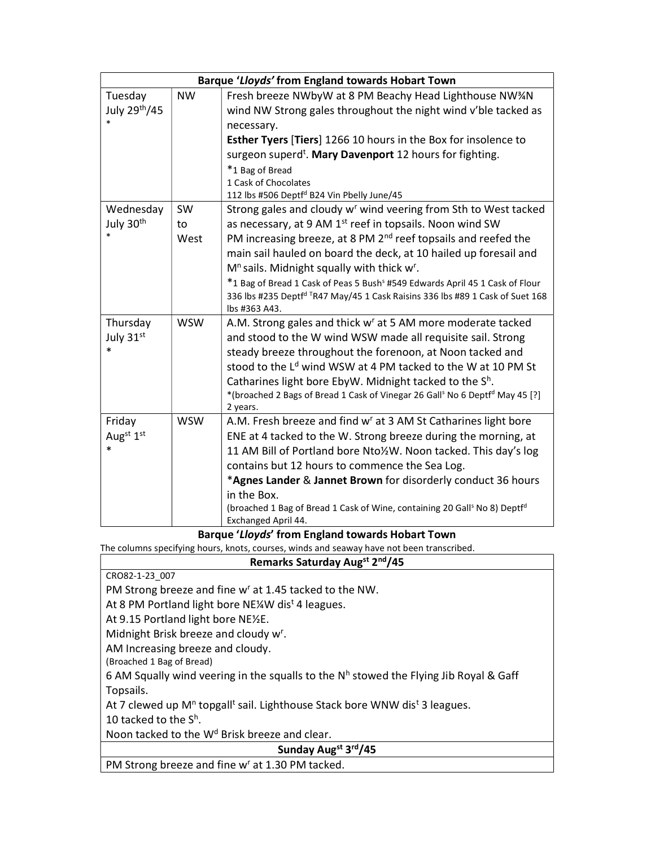|                           |            | Barque 'Lloyds' from England towards Hobart Town                                                                                                                          |
|---------------------------|------------|---------------------------------------------------------------------------------------------------------------------------------------------------------------------------|
| Tuesday                   | <b>NW</b>  | Fresh breeze NWbyW at 8 PM Beachy Head Lighthouse NW3/N                                                                                                                   |
| July 29 <sup>th</sup> /45 |            | wind NW Strong gales throughout the night wind v'ble tacked as                                                                                                            |
|                           |            | necessary.                                                                                                                                                                |
|                           |            | <b>Esther Tyers [Tiers] 1266 10 hours in the Box for insolence to</b>                                                                                                     |
|                           |            | surgeon superd <sup>t</sup> . Mary Davenport 12 hours for fighting.                                                                                                       |
|                           |            | *1 Bag of Bread                                                                                                                                                           |
|                           |            | 1 Cask of Chocolates                                                                                                                                                      |
|                           |            | 112 lbs #506 Deptfd B24 Vin Pbelly June/45                                                                                                                                |
| Wednesday                 | SW         | Strong gales and cloudy w <sup>r</sup> wind veering from Sth to West tacked                                                                                               |
| July 30 <sup>th</sup>     | to         | as necessary, at 9 AM 1 <sup>st</sup> reef in topsails. Noon wind SW                                                                                                      |
|                           | West       | PM increasing breeze, at 8 PM 2 <sup>nd</sup> reef topsails and reefed the                                                                                                |
|                           |            | main sail hauled on board the deck, at 10 hailed up foresail and                                                                                                          |
|                           |            | M <sup>n</sup> sails. Midnight squally with thick w <sup>r</sup> .                                                                                                        |
|                           |            | *1 Bag of Bread 1 Cask of Peas 5 Bush <sup>s</sup> #549 Edwards April 45 1 Cask of Flour<br>336 lbs #235 Deptfd TR47 May/45 1 Cask Raisins 336 lbs #89 1 Cask of Suet 168 |
|                           |            | lbs #363 A43.                                                                                                                                                             |
| Thursday                  | <b>WSW</b> | A.M. Strong gales and thick w <sup>r</sup> at 5 AM more moderate tacked                                                                                                   |
| July 31st                 |            | and stood to the W wind WSW made all requisite sail. Strong                                                                                                               |
| $\ast$                    |            | steady breeze throughout the forenoon, at Noon tacked and                                                                                                                 |
|                           |            | stood to the L <sup>d</sup> wind WSW at 4 PM tacked to the W at 10 PM St                                                                                                  |
|                           |            | Catharines light bore EbyW. Midnight tacked to the S <sup>h</sup> .                                                                                                       |
|                           |            | *(broached 2 Bags of Bread 1 Cask of Vinegar 26 Gall <sup>s</sup> No 6 Deptf <sup>d</sup> May 45 [?]                                                                      |
|                           |            | 2 years.                                                                                                                                                                  |
| Friday                    | <b>WSW</b> | A.M. Fresh breeze and find w <sup>r</sup> at 3 AM St Catharines light bore                                                                                                |
| Augst 1st                 |            | ENE at 4 tacked to the W. Strong breeze during the morning, at                                                                                                            |
| $\ast$                    |            | 11 AM Bill of Portland bore Nto1/2W. Noon tacked. This day's log                                                                                                          |
|                           |            | contains but 12 hours to commence the Sea Log.                                                                                                                            |
|                           |            | *Agnes Lander & Jannet Brown for disorderly conduct 36 hours                                                                                                              |
|                           |            | in the Box.                                                                                                                                                               |
|                           |            | (broached 1 Bag of Bread 1 Cask of Wine, containing 20 Gall <sup>s</sup> No 8) Deptf <sup>d</sup><br>Exchanged April 44.                                                  |

Barque 'Lloyds' from England towards Hobart Town

The columns specifying hours, knots, courses, winds and seaway have not been transcribed.

| Remarks Saturday Augst 2nd/45                                                                                  |  |
|----------------------------------------------------------------------------------------------------------------|--|
| CRO82-1-23 007                                                                                                 |  |
| PM Strong breeze and fine w <sup>r</sup> at 1.45 tacked to the NW.                                             |  |
| At 8 PM Portland light bore NE¼W dis <sup>t</sup> 4 leagues.                                                   |  |
| At 9.15 Portland light bore NE½E.                                                                              |  |
| Midnight Brisk breeze and cloudy w <sup>r</sup> .                                                              |  |
| AM Increasing breeze and cloudy.                                                                               |  |
| (Broached 1 Bag of Bread)                                                                                      |  |
| 6 AM Squally wind veering in the squalls to the N <sup>h</sup> stowed the Flying Jib Royal & Gaff              |  |
| Topsails.                                                                                                      |  |
| At 7 clewed up M <sup>n</sup> topgall <sup>t</sup> sail. Lighthouse Stack bore WNW dis <sup>t</sup> 3 leagues. |  |
| 10 tacked to the S <sup>h</sup> .                                                                              |  |
| Noon tacked to the W <sup>d</sup> Brisk breeze and clear.                                                      |  |
| Sunday Augst 3rd/45                                                                                            |  |
| $\sim$                                                                                                         |  |

PM Strong breeze and fine w<sup>r</sup> at 1.30 PM tacked.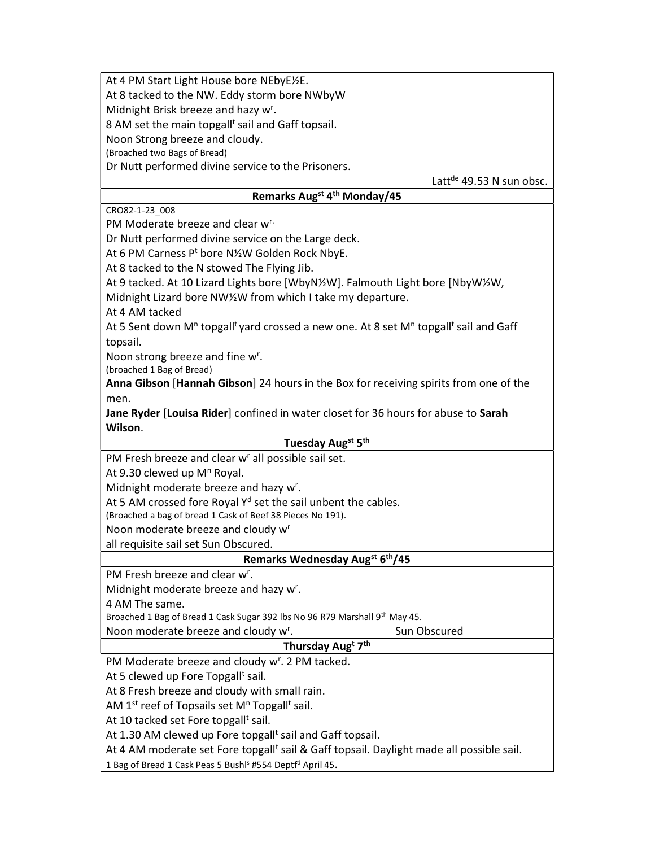At 4 PM Start Light House bore NEbyE½E.

At 8 tacked to the NW. Eddy storm bore NWbyW

Midnight Brisk breeze and hazy w<sup>r</sup>.

8 AM set the main topgall<sup>t</sup> sail and Gaff topsail.

Noon Strong breeze and cloudy.

(Broached two Bags of Bread)

Dr Nutt performed divine service to the Prisoners.

Latt de 49.53 N sun obsc.

# Remarks Augst 4th Monday/45

CRO82-1-23\_008

PM Moderate breeze and clear w<sup>r.</sup>

Dr Nutt performed divine service on the Large deck.

At 6 PM Carness P<sup>t</sup> bore N½W Golden Rock NbyE.

At 8 tacked to the N stowed The Flying Jib.

At 9 tacked. At 10 Lizard Lights bore [WbyN½W]. Falmouth Light bore [NbyW½W,

Midnight Lizard bore NW½W from which I take my departure.

At 4 AM tacked

At 5 Sent down M<sup>n</sup> topgall<sup>t</sup> yard crossed a new one. At 8 set M<sup>n</sup> topgall<sup>t</sup> sail and Gaff topsail.

Noon strong breeze and fine w<sup>r</sup>.

(broached 1 Bag of Bread)

Anna Gibson [Hannah Gibson] 24 hours in the Box for receiving spirits from one of the men.

Jane Ryder [Louisa Rider] confined in water closet for 36 hours for abuse to Sarah Wilson.

#### Tuesday Aug<sup>st</sup> 5<sup>th</sup>

PM Fresh breeze and clear w<sup>r</sup> all possible sail set.

At 9.30 clewed up M<sup>n</sup> Royal.

Midnight moderate breeze and hazy w<sup>r</sup>.

At 5 AM crossed fore Royal  $Y<sup>d</sup>$  set the sail unbent the cables.

(Broached a bag of bread 1 Cask of Beef 38 Pieces No 191).

Noon moderate breeze and cloudy w<sup>r</sup>

all requisite sail set Sun Obscured.

# Remarks Wednesday Augst 6th/45

PM Fresh breeze and clear w<sup>r</sup>.

Midnight moderate breeze and hazy w<sup>r</sup>.

4 AM The same.

Broached 1 Bag of Bread 1 Cask Sugar 392 lbs No 96 R79 Marshall 9th May 45.

Noon moderate breeze and cloudy w<sup>r</sup>.

# Thursday Aug<sup>t</sup> 7<sup>th</sup>

. Sun Obscured

PM Moderate breeze and cloudy w<sup>r</sup>. 2 PM tacked.

At 5 clewed up Fore Topgall<sup>t</sup> sail.

At 8 Fresh breeze and cloudy with small rain.

AM 1<sup>st</sup> reef of Topsails set M<sup>n</sup> Topgall<sup>t</sup> sail.

At 10 tacked set Fore topgall<sup>t</sup> sail.

At 1.30 AM clewed up Fore topgall<sup>t</sup> sail and Gaff topsail.

At 4 AM moderate set Fore topgall<sup>t</sup> sail & Gaff topsail. Daylight made all possible sail.

1 Bag of Bread 1 Cask Peas 5 Bushl<sup>s</sup> #554 Deptf<sup>d</sup> April 45.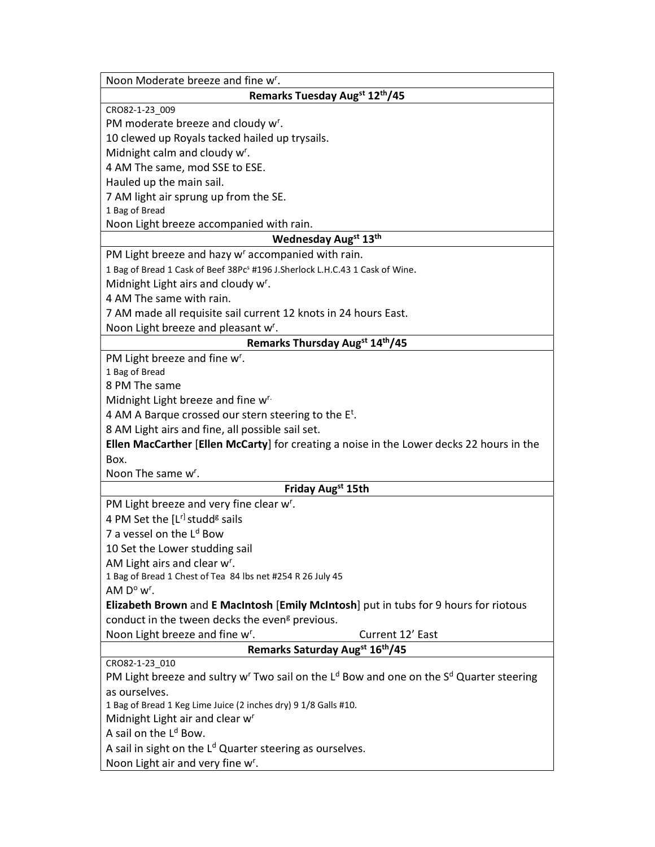| Noon Moderate breeze and fine w <sup>r</sup> .                                                                              |
|-----------------------------------------------------------------------------------------------------------------------------|
| Remarks Tuesday Augst 12th/45                                                                                               |
| CRO82-1-23_009                                                                                                              |
| PM moderate breeze and cloudy w <sup>r</sup> .                                                                              |
| 10 clewed up Royals tacked hailed up trysails.                                                                              |
| Midnight calm and cloudy w <sup>r</sup> .                                                                                   |
| 4 AM The same, mod SSE to ESE.                                                                                              |
| Hauled up the main sail.                                                                                                    |
| 7 AM light air sprung up from the SE.                                                                                       |
| 1 Bag of Bread                                                                                                              |
| Noon Light breeze accompanied with rain.                                                                                    |
| Wednesday Augst 13th                                                                                                        |
| PM Light breeze and hazy w' accompanied with rain.                                                                          |
| 1 Bag of Bread 1 Cask of Beef 38Pc <sup>s</sup> #196 J.Sherlock L.H.C.43 1 Cask of Wine.                                    |
| Midnight Light airs and cloudy w <sup>r</sup> .                                                                             |
| 4 AM The same with rain.                                                                                                    |
| 7 AM made all requisite sail current 12 knots in 24 hours East.                                                             |
| Noon Light breeze and pleasant w <sup>r</sup> .                                                                             |
| Remarks Thursday Augst 14th/45                                                                                              |
| PM Light breeze and fine w <sup>r</sup> .                                                                                   |
| 1 Bag of Bread                                                                                                              |
| 8 PM The same                                                                                                               |
| Midnight Light breeze and fine w <sup>r.</sup>                                                                              |
| 4 AM A Barque crossed our stern steering to the E <sup>t</sup> .                                                            |
| 8 AM Light airs and fine, all possible sail set.                                                                            |
| Ellen MacCarther [Ellen McCarty] for creating a noise in the Lower decks 22 hours in the                                    |
| Box.                                                                                                                        |
| Noon The same w <sup>r</sup> .                                                                                              |
| Friday Augst 15th                                                                                                           |
| PM Light breeze and very fine clear w <sup>r</sup> .                                                                        |
| 4 PM Set the $[Lr]$ studd <sup>g</sup> sails                                                                                |
| 7 a vessel on the L <sup>d</sup> Bow                                                                                        |
| 10 Set the Lower studding sail                                                                                              |
| AM Light airs and clear w <sup>r</sup> .                                                                                    |
| 1 Bag of Bread 1 Chest of Tea 84 lbs net #254 R 26 July 45                                                                  |
| AM $D^{\circ}$ w <sup>r</sup> .                                                                                             |
| Elizabeth Brown and E MacIntosh [Emily McIntosh] put in tubs for 9 hours for riotous                                        |
| conduct in the tween decks the even <sup>g</sup> previous.                                                                  |
| Noon Light breeze and fine w <sup>r</sup> .<br>Current 12' East                                                             |
| Remarks Saturday Augst 16th/45                                                                                              |
| CRO82-1-23_010                                                                                                              |
| PM Light breeze and sultry w <sup>r</sup> Two sail on the L <sup>d</sup> Bow and one on the S <sup>d</sup> Quarter steering |
| as ourselves.                                                                                                               |
| 1 Bag of Bread 1 Keg Lime Juice (2 inches dry) 9 1/8 Galls #10.                                                             |
| Midnight Light air and clear w <sup>r</sup><br>A sail on the L <sup>d</sup> Bow.                                            |
|                                                                                                                             |
| A sail in sight on the L <sup>d</sup> Quarter steering as ourselves.                                                        |
| Noon Light air and very fine w <sup>r</sup> .                                                                               |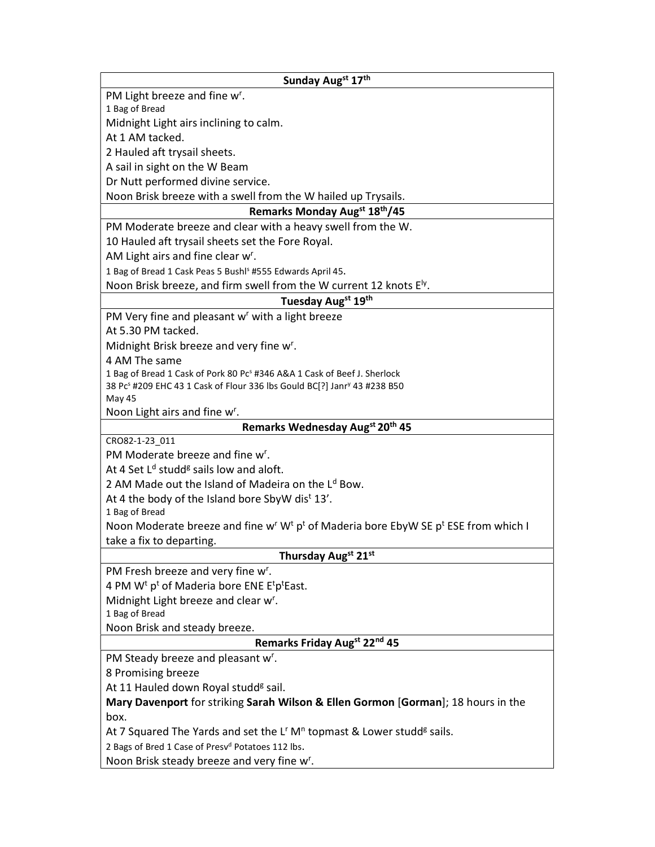| PM Light breeze and fine w <sup>r</sup> .                                                                                          |
|------------------------------------------------------------------------------------------------------------------------------------|
| 1 Bag of Bread                                                                                                                     |
| Midnight Light airs inclining to calm.                                                                                             |
| At 1 AM tacked.                                                                                                                    |
| 2 Hauled aft trysail sheets.                                                                                                       |
| A sail in sight on the W Beam                                                                                                      |
| Dr Nutt performed divine service.                                                                                                  |
| Noon Brisk breeze with a swell from the W hailed up Trysails.                                                                      |
| Remarks Monday Augst 18th/45                                                                                                       |
| PM Moderate breeze and clear with a heavy swell from the W.                                                                        |
| 10 Hauled aft trysail sheets set the Fore Royal.                                                                                   |
| AM Light airs and fine clear w <sup>r</sup> .                                                                                      |
| 1 Bag of Bread 1 Cask Peas 5 Bushl <sup>s</sup> #555 Edwards April 45.                                                             |
| Noon Brisk breeze, and firm swell from the W current 12 knots E <sup>ly</sup> .                                                    |
| Tuesday Augst 19th                                                                                                                 |
| PM Very fine and pleasant w <sup>r</sup> with a light breeze                                                                       |
| At 5.30 PM tacked.                                                                                                                 |
| Midnight Brisk breeze and very fine w <sup>r</sup> .                                                                               |
| 4 AM The same                                                                                                                      |
| 1 Bag of Bread 1 Cask of Pork 80 Pc <sup>s</sup> #346 A&A 1 Cask of Beef J. Sherlock                                               |
| 38 Pc <sup>s</sup> #209 EHC 43 1 Cask of Flour 336 lbs Gould BC[?] Janr <sup>y</sup> 43 #238 B50                                   |
| May 45                                                                                                                             |
| Noon Light airs and fine w <sup>r</sup> .                                                                                          |
| Remarks Wednesday Augst 20th 45                                                                                                    |
| CRO82-1-23 011<br>PM Moderate breeze and fine w <sup>r</sup> .                                                                     |
|                                                                                                                                    |
|                                                                                                                                    |
| At 4 Set L <sup>d</sup> studd <sup>g</sup> sails low and aloft.                                                                    |
| 2 AM Made out the Island of Madeira on the L <sup>d</sup> Bow.                                                                     |
| At 4 the body of the Island bore SbyW dist 13'.                                                                                    |
| 1 Bag of Bread                                                                                                                     |
| Noon Moderate breeze and fine w <sup>r</sup> W <sup>t</sup> p <sup>t</sup> of Maderia bore EbyW SE p <sup>t</sup> ESE from which I |
| take a fix to departing.                                                                                                           |
| Thursday Augst 21st                                                                                                                |
| PM Fresh breeze and very fine w <sup>r</sup> .                                                                                     |
| 4 PM W <sup>t</sup> p <sup>t</sup> of Maderia bore ENE E <sup>t</sup> p <sup>t</sup> East.                                         |
| Midnight Light breeze and clear w <sup>r</sup> .                                                                                   |
| 1 Bag of Bread                                                                                                                     |
| Noon Brisk and steady breeze.                                                                                                      |
| Remarks Friday Augst 22nd 45                                                                                                       |
| PM Steady breeze and pleasant w <sup>r</sup> .                                                                                     |
| 8 Promising breeze                                                                                                                 |
| At 11 Hauled down Royal studd <sup>g</sup> sail.                                                                                   |
| Mary Davenport for striking Sarah Wilson & Ellen Gormon [Gorman]; 18 hours in the                                                  |
| box.                                                                                                                               |
| At 7 Squared The Yards and set the $L^r M^n$ topmast & Lower studd <sup>g</sup> sails.                                             |
| 2 Bags of Bred 1 Case of Presv <sup>d</sup> Potatoes 112 lbs.<br>Noon Brisk steady breeze and very fine w <sup>r</sup> .           |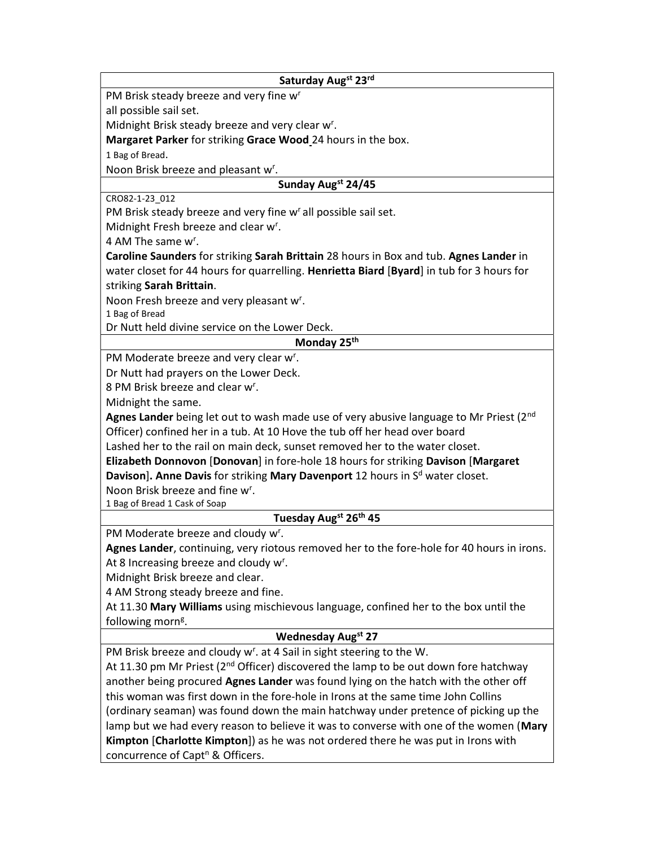| Saturday Augst 23rd                                                                              |
|--------------------------------------------------------------------------------------------------|
| PM Brisk steady breeze and very fine w <sup>r</sup>                                              |
| all possible sail set.                                                                           |
| Midnight Brisk steady breeze and very clear w <sup>r</sup> .                                     |
| Margaret Parker for striking Grace Wood 24 hours in the box.                                     |
| 1 Bag of Bread.                                                                                  |
| Noon Brisk breeze and pleasant w <sup>r</sup> .                                                  |
| Sunday Augst 24/45                                                                               |
| CRO82-1-23_012                                                                                   |
| PM Brisk steady breeze and very fine w <sup>r</sup> all possible sail set.                       |
| Midnight Fresh breeze and clear w <sup>r</sup> .                                                 |
| 4 AM The same w <sup>r</sup> .                                                                   |
| Caroline Saunders for striking Sarah Brittain 28 hours in Box and tub. Agnes Lander in           |
| water closet for 44 hours for quarrelling. Henrietta Biard [Byard] in tub for 3 hours for        |
| striking Sarah Brittain.                                                                         |
| Noon Fresh breeze and very pleasant w <sup>r</sup> .<br>1 Bag of Bread                           |
| Dr Nutt held divine service on the Lower Deck.                                                   |
| Monday 25 <sup>th</sup>                                                                          |
| PM Moderate breeze and very clear w <sup>r</sup> .                                               |
| Dr Nutt had prayers on the Lower Deck.                                                           |
| 8 PM Brisk breeze and clear w <sup>r</sup> .                                                     |
| Midnight the same.                                                                               |
| Agnes Lander being let out to wash made use of very abusive language to Mr Priest (2nd           |
| Officer) confined her in a tub. At 10 Hove the tub off her head over board                       |
| Lashed her to the rail on main deck, sunset removed her to the water closet.                     |
| Elizabeth Donnovon [Donovan] in fore-hole 18 hours for striking Davison [Margaret                |
| Davison]. Anne Davis for striking Mary Davenport 12 hours in S <sup>d</sup> water closet.        |
| Noon Brisk breeze and fine w <sup>r</sup> .                                                      |
| 1 Bag of Bread 1 Cask of Soap                                                                    |
| Tuesday Augst 26th 45                                                                            |
| PM Moderate breeze and cloudy w <sup>r</sup> .                                                   |
| Agnes Lander, continuing, very riotous removed her to the fore-hole for 40 hours in irons.       |
| At 8 Increasing breeze and cloudy w <sup>r</sup> .                                               |
| Midnight Brisk breeze and clear.                                                                 |
| 4 AM Strong steady breeze and fine.                                                              |
| At 11.30 Mary Williams using mischievous language, confined her to the box until the             |
| following morn <sup>g</sup> .                                                                    |
| <b>Wednesday Augst 27</b>                                                                        |
| PM Brisk breeze and cloudy w <sup>r</sup> . at 4 Sail in sight steering to the W.                |
| At 11.30 pm Mr Priest (2 <sup>nd</sup> Officer) discovered the lamp to be out down fore hatchway |
| another being procured Agnes Lander was found lying on the hatch with the other off              |
| this woman was first down in the fore-hole in Irons at the same time John Collins                |
| (ordinary seaman) was found down the main hatchway under pretence of picking up the              |
| lamp but we had every reason to believe it was to converse with one of the women (Mary           |
| Kimpton [Charlotte Kimpton]) as he was not ordered there he was put in Irons with                |
| concurrence of Capt <sup>n</sup> & Officers.                                                     |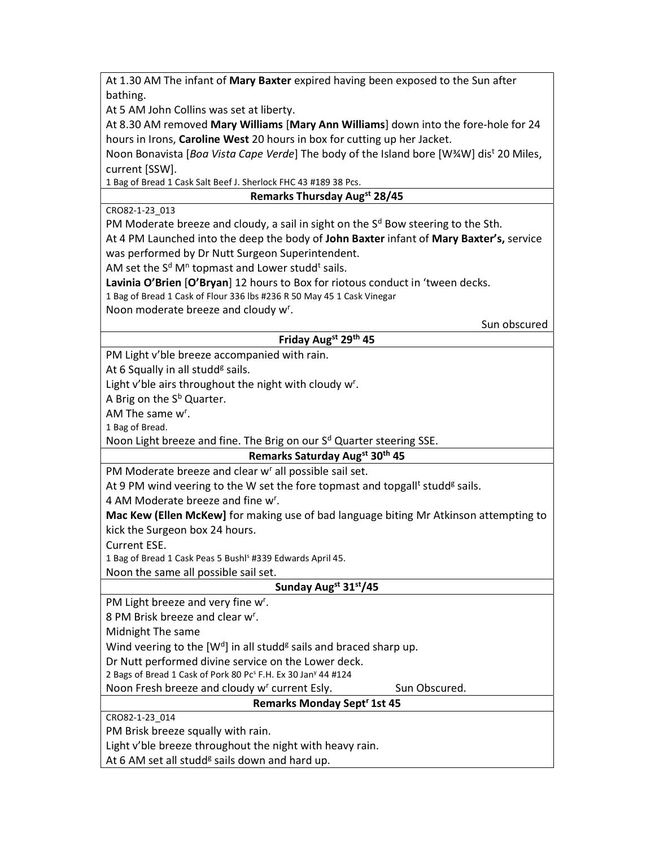At 1.30 AM The infant of Mary Baxter expired having been exposed to the Sun after bathing.

At 5 AM John Collins was set at liberty.

At 8.30 AM removed Mary Williams [Mary Ann Williams] down into the fore-hole for 24 hours in Irons, Caroline West 20 hours in box for cutting up her Jacket.

Noon Bonavista [Boa Vista Cape Verde] The body of the Island bore [W¾W] dis<sup>t</sup> 20 Miles, current [SSW].

1 Bag of Bread 1 Cask Salt Beef J. Sherlock FHC 43 #189 38 Pcs.

## Remarks Thursday Augst 28/45

CRO82-1-23\_013

PM Moderate breeze and cloudy, a sail in sight on the S<sup>d</sup> Bow steering to the Sth.

At 4 PM Launched into the deep the body of John Baxter infant of Mary Baxter's, service was performed by Dr Nutt Surgeon Superintendent.

AM set the S<sup>d</sup> M<sup>n</sup> topmast and Lower studd<sup>t</sup> sails.

Lavinia O'Brien [O'Bryan] 12 hours to Box for riotous conduct in 'tween decks.

1 Bag of Bread 1 Cask of Flour 336 lbs #236 R 50 May 45 1 Cask Vinegar

Noon moderate breeze and cloudy w<sup>r</sup>.

| Sun obscured |  |
|--------------|--|
|--------------|--|

### Friday Augst 29th 45

PM Light v'ble breeze accompanied with rain.

At 6 Squally in all studd<sup>g</sup> sails.

Light v'ble airs throughout the night with cloudy w<sup>r</sup>.

A Brig on the S<sup>b</sup> Quarter.

AM The same w<sup>r</sup>.

1 Bag of Bread.

Noon Light breeze and fine. The Brig on our S<sup>d</sup> Quarter steering SSE.

Remarks Saturday Augst 30th 45 PM Moderate breeze and clear w<sup>r</sup> all possible sail set.

At 9 PM wind veering to the W set the fore topmast and topgall<sup>t</sup> studd<sup>g</sup> sails.

4 AM Moderate breeze and fine w<sup>r</sup>.

Mac Kew (Ellen McKew] for making use of bad language biting Mr Atkinson attempting to kick the Surgeon box 24 hours.

Current ESE.

1 Bag of Bread 1 Cask Peas 5 Bushl<sup>s</sup> #339 Edwards April 45.

Noon the same all possible sail set.

## Sunday Augst 31st/45

PM Light breeze and very fine w<sup>r</sup>.

8 PM Brisk breeze and clear w<sup>r</sup>.

Midnight The same

Wind veering to the  $[W^d]$  in all studd<sup>g</sup> sails and braced sharp up.

Dr Nutt performed divine service on the Lower deck.

2 Bags of Bread 1 Cask of Pork 80 Pc<sup>s</sup> F.H. Ex 30 Jan<sup>y</sup> 44 #124

Noon Fresh breeze and cloudy w<sup>r</sup> current Esly. Sun Obscured.

## Remarks Monday Sept<sup>r</sup> 1st 45

CRO82-1-23\_014

PM Brisk breeze squally with rain.

Light v'ble breeze throughout the night with heavy rain.

At 6 AM set all studd<sup>g</sup> sails down and hard up.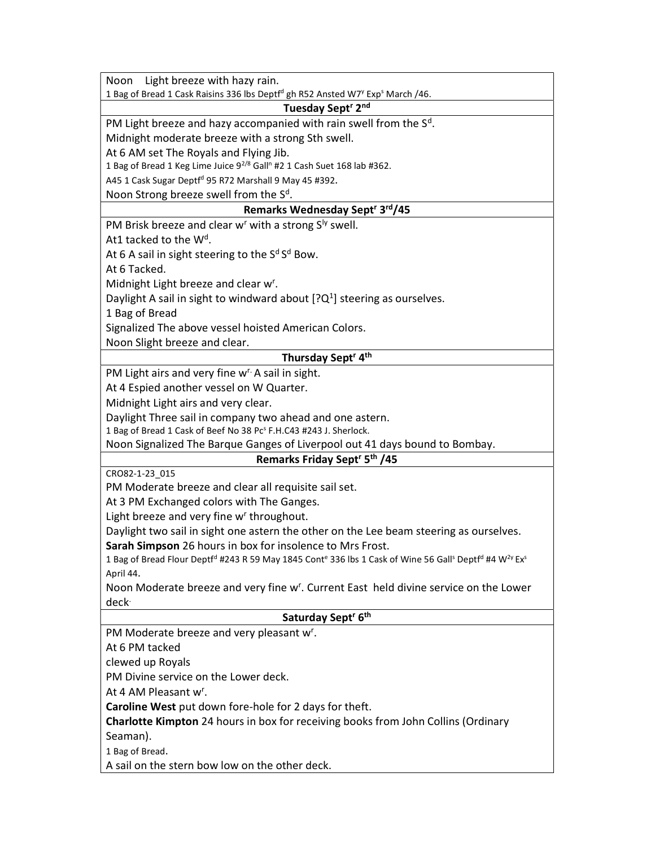| Light breeze with hazy rain.<br>Noon                                                                                                                                           |
|--------------------------------------------------------------------------------------------------------------------------------------------------------------------------------|
| 1 Bag of Bread 1 Cask Raisins 336 lbs Deptf <sup>d</sup> gh R52 Ansted W7 <sup>y</sup> Exp <sup>s</sup> March /46.                                                             |
| Tuesday Sept <sup>r</sup> 2 <sup>nd</sup>                                                                                                                                      |
| PM Light breeze and hazy accompanied with rain swell from the $Sd$ .                                                                                                           |
| Midnight moderate breeze with a strong Sth swell.                                                                                                                              |
| At 6 AM set The Royals and Flying Jib.                                                                                                                                         |
| 1 Bag of Bread 1 Keg Lime Juice 9 <sup>2/8</sup> Gall <sup>n</sup> #2 1 Cash Suet 168 lab #362.                                                                                |
| A45 1 Cask Sugar Deptf <sup>d</sup> 95 R72 Marshall 9 May 45 #392.                                                                                                             |
| Noon Strong breeze swell from the $Sd$ .                                                                                                                                       |
| Remarks Wednesday Sept <sup>r</sup> 3 <sup>rd</sup> /45                                                                                                                        |
| PM Brisk breeze and clear w <sup>r</sup> with a strong S <sup>ly</sup> swell.                                                                                                  |
| At1 tacked to the $Wd$ .                                                                                                                                                       |
| At 6 A sail in sight steering to the $Sd Sd$ Bow.                                                                                                                              |
| At 6 Tacked.                                                                                                                                                                   |
| Midnight Light breeze and clear w <sup>r</sup> .                                                                                                                               |
| Daylight A sail in sight to windward about $[?Q^1]$ steering as ourselves.                                                                                                     |
| 1 Bag of Bread                                                                                                                                                                 |
| Signalized The above vessel hoisted American Colors.                                                                                                                           |
| Noon Slight breeze and clear.                                                                                                                                                  |
| Thursday Sept <sup>r</sup> 4 <sup>th</sup>                                                                                                                                     |
| PM Light airs and very fine w <sup>r.</sup> A sail in sight.                                                                                                                   |
| At 4 Espied another vessel on W Quarter.                                                                                                                                       |
| Midnight Light airs and very clear.                                                                                                                                            |
| Daylight Three sail in company two ahead and one astern.                                                                                                                       |
| 1 Bag of Bread 1 Cask of Beef No 38 Pc <sup>s</sup> F.H.C43 #243 J. Sherlock.                                                                                                  |
| Noon Signalized The Barque Ganges of Liverpool out 41 days bound to Bombay.<br>Remarks Friday Sept <sup>r</sup> 5 <sup>th</sup> /45                                            |
| CRO82-1-23_015                                                                                                                                                                 |
| PM Moderate breeze and clear all requisite sail set.                                                                                                                           |
| At 3 PM Exchanged colors with The Ganges.                                                                                                                                      |
| Light breeze and very fine w' throughout.                                                                                                                                      |
| Daylight two sail in sight one astern the other on the Lee beam steering as ourselves.                                                                                         |
| Sarah Simpson 26 hours in box for insolence to Mrs Frost.                                                                                                                      |
| 1 Bag of Bread Flour Deptf <sup>d</sup> #243 R 59 May 1845 Cont <sup>e</sup> 336 lbs 1 Cask of Wine 56 Gall <sup>s</sup> Deptf <sup>d</sup> #4 W <sup>2y</sup> Ex <sup>s</sup> |
| April 44.                                                                                                                                                                      |
| Noon Moderate breeze and very fine w <sup>r</sup> . Current East held divine service on the Lower                                                                              |
| deck <sup>.</sup>                                                                                                                                                              |
| Saturday Sept <sup>r</sup> 6 <sup>th</sup>                                                                                                                                     |
| PM Moderate breeze and very pleasant w <sup>r</sup> .                                                                                                                          |
| At 6 PM tacked                                                                                                                                                                 |
| clewed up Royals                                                                                                                                                               |
| PM Divine service on the Lower deck.                                                                                                                                           |
| At 4 AM Pleasant w <sup>r</sup> .                                                                                                                                              |
| Caroline West put down fore-hole for 2 days for theft.                                                                                                                         |
| Charlotte Kimpton 24 hours in box for receiving books from John Collins (Ordinary                                                                                              |
| Seaman).                                                                                                                                                                       |
| 1 Bag of Bread.                                                                                                                                                                |
| A sail on the stern bow low on the other deck.                                                                                                                                 |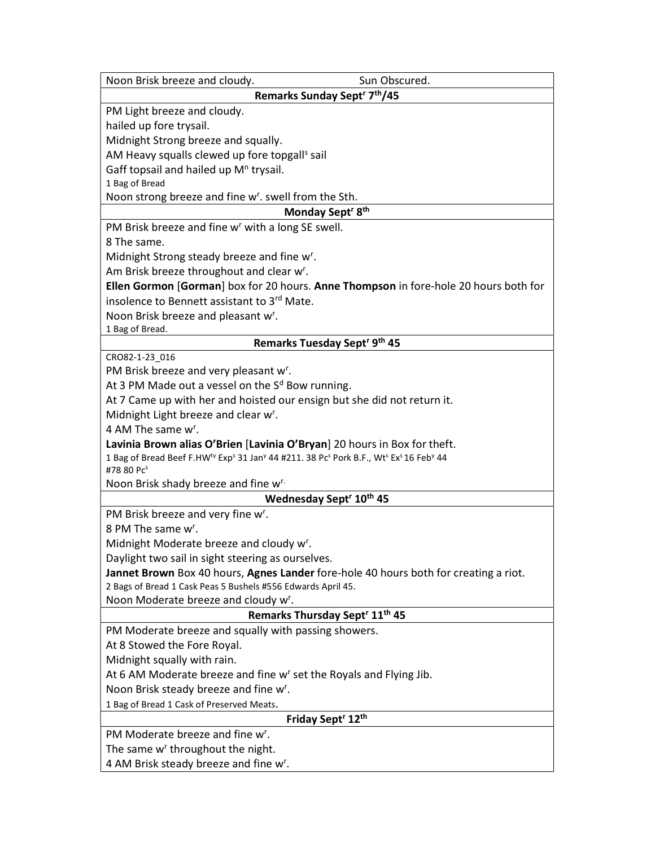| Sun Obscured.<br>Noon Brisk breeze and cloudy.                                                                                                                                                      |
|-----------------------------------------------------------------------------------------------------------------------------------------------------------------------------------------------------|
| Remarks Sunday Sept <sup>r</sup> 7 <sup>th</sup> /45                                                                                                                                                |
| PM Light breeze and cloudy.                                                                                                                                                                         |
| hailed up fore trysail.                                                                                                                                                                             |
| Midnight Strong breeze and squally.                                                                                                                                                                 |
| AM Heavy squalls clewed up fore topgall <sup>s</sup> sail                                                                                                                                           |
| Gaff topsail and hailed up M <sup>n</sup> trysail.                                                                                                                                                  |
| 1 Bag of Bread                                                                                                                                                                                      |
| Noon strong breeze and fine w <sup>r</sup> . swell from the Sth.                                                                                                                                    |
| Monday Sept <sup>r</sup> 8 <sup>th</sup>                                                                                                                                                            |
| PM Brisk breeze and fine w <sup>r</sup> with a long SE swell.                                                                                                                                       |
| 8 The same.                                                                                                                                                                                         |
| Midnight Strong steady breeze and fine w <sup>r</sup> .                                                                                                                                             |
| Am Brisk breeze throughout and clear w <sup>r</sup> .                                                                                                                                               |
| Ellen Gormon [Gorman] box for 20 hours. Anne Thompson in fore-hole 20 hours both for                                                                                                                |
| insolence to Bennett assistant to 3rd Mate.                                                                                                                                                         |
| Noon Brisk breeze and pleasant w <sup>r</sup> .                                                                                                                                                     |
| 1 Bag of Bread.                                                                                                                                                                                     |
| Remarks Tuesday Sept <sup>r 9th</sup> 45                                                                                                                                                            |
| CRO82-1-23_016                                                                                                                                                                                      |
| PM Brisk breeze and very pleasant w <sup>r</sup> .                                                                                                                                                  |
| At 3 PM Made out a vessel on the $Sd$ Bow running.                                                                                                                                                  |
| At 7 Came up with her and hoisted our ensign but she did not return it.                                                                                                                             |
| Midnight Light breeze and clear w <sup>r</sup> .                                                                                                                                                    |
| 4 AM The same w <sup>r</sup> .                                                                                                                                                                      |
| Lavinia Brown alias O'Brien [Lavinia O'Bryan] 20 hours in Box for theft.                                                                                                                            |
| 1 Bag of Bread Beef F.HW <sup>ty</sup> Exp <sup>s</sup> 31 Jan <sup>y</sup> 44 #211. 38 Pc <sup>s</sup> Pork B.F., Wt <sup>s</sup> Ex <sup>s</sup> 16 Feb <sup>y</sup> 44<br>#78 80 Pc <sup>s</sup> |
| Noon Brisk shady breeze and fine w <sup>r.</sup>                                                                                                                                                    |
| Wednesday Sept <sup>r</sup> 10 <sup>th</sup> 45                                                                                                                                                     |
| PM Brisk breeze and very fine w <sup>r</sup> .                                                                                                                                                      |
| 8 PM The same w <sup>r</sup> .                                                                                                                                                                      |
| Midnight Moderate breeze and cloudy w <sup>r</sup> .                                                                                                                                                |
| Daylight two sail in sight steering as ourselves.                                                                                                                                                   |
| Jannet Brown Box 40 hours, Agnes Lander fore-hole 40 hours both for creating a riot.                                                                                                                |
| 2 Bags of Bread 1 Cask Peas 5 Bushels #556 Edwards April 45.                                                                                                                                        |
| Noon Moderate breeze and cloudy w <sup>r</sup> .                                                                                                                                                    |
| Remarks Thursday Sept <sup>r</sup> 11 <sup>th</sup> 45                                                                                                                                              |
| PM Moderate breeze and squally with passing showers.                                                                                                                                                |
| At 8 Stowed the Fore Royal.                                                                                                                                                                         |
| Midnight squally with rain.                                                                                                                                                                         |
| At 6 AM Moderate breeze and fine w <sup>r</sup> set the Royals and Flying Jib.                                                                                                                      |
| Noon Brisk steady breeze and fine w <sup>r</sup> .                                                                                                                                                  |
| 1 Bag of Bread 1 Cask of Preserved Meats.                                                                                                                                                           |
| Friday Sept <sup>r</sup> 12 <sup>th</sup>                                                                                                                                                           |
| PM Moderate breeze and fine w <sup>r</sup> .                                                                                                                                                        |
| The same w' throughout the night.                                                                                                                                                                   |
| 4 AM Brisk steady breeze and fine w <sup>r</sup> .                                                                                                                                                  |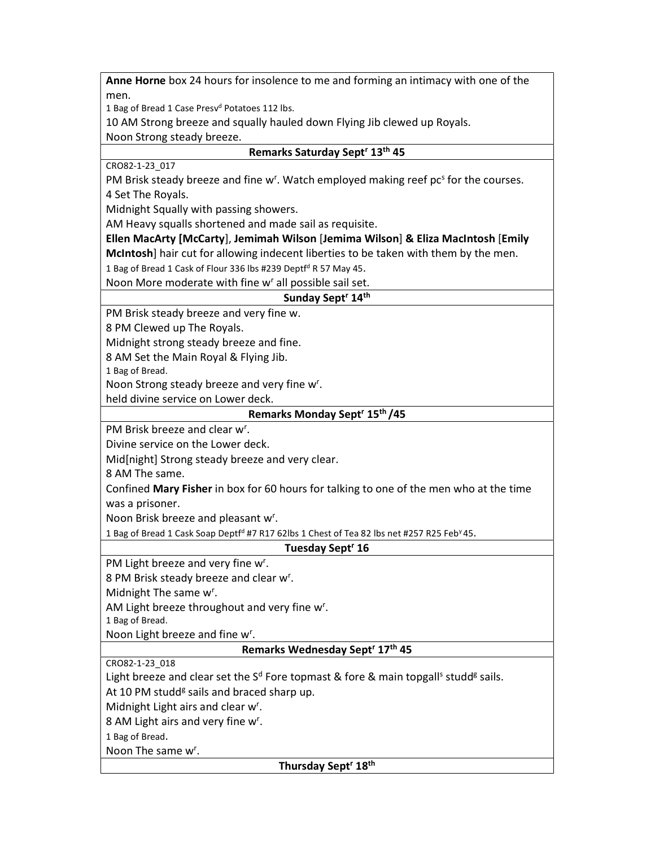Anne Horne box 24 hours for insolence to me and forming an intimacy with one of the men.

1 Bag of Bread 1 Case Presv<sup>d</sup> Potatoes 112 lbs.

10 AM Strong breeze and squally hauled down Flying Jib clewed up Royals.

Noon Strong steady breeze.

#### Remarks Saturday Sept<sup>r</sup> 13<sup>th</sup> 45

CRO82-1-23\_017

PM Brisk steady breeze and fine w<sup>r</sup>. Watch employed making reef pc<sup>s</sup> for the courses. 4 Set The Royals.

Midnight Squally with passing showers.

AM Heavy squalls shortened and made sail as requisite.

Ellen MacArty [McCarty], Jemimah Wilson [Jemima Wilson] & Eliza MacIntosh [Emily McIntosh] hair cut for allowing indecent liberties to be taken with them by the men.

1 Bag of Bread 1 Cask of Flour 336 lbs #239 Deptf<sup>d</sup> R 57 May 45.

Noon More moderate with fine w<sup>r</sup> all possible sail set.

Sunday Sept<sup>r</sup> 14th

PM Brisk steady breeze and very fine w.

8 PM Clewed up The Royals.

Midnight strong steady breeze and fine.

8 AM Set the Main Royal & Flying Jib.

1 Bag of Bread.

Noon Strong steady breeze and very fine w<sup>r</sup>.

held divine service on Lower deck.

#### Remarks Monday Sept<sup>r</sup> 15<sup>th</sup> /45

PM Brisk breeze and clear w<sup>r</sup>.

Divine service on the Lower deck.

Mid[night] Strong steady breeze and very clear.

8 AM The same.

Confined Mary Fisher in box for 60 hours for talking to one of the men who at the time was a prisoner.

Noon Brisk breeze and pleasant w<sup>r</sup>.

1 Bag of Bread 1 Cask Soap Deptf<sup>d</sup> #7 R17 62lbs 1 Chest of Tea 82 lbs net #257 R25 Feb<sup>y</sup> 45.

#### Tuesday Sept<sup>r</sup> 16

PM Light breeze and very fine w<sup>r</sup>.

8 PM Brisk steady breeze and clear w<sup>r</sup>.

Midnight The same w<sup>r</sup>.

AM Light breeze throughout and very fine w<sup>r</sup>.

1 Bag of Bread.

Noon Light breeze and fine w<sup>r</sup>.

#### Remarks Wednesday Sept<sup>r</sup> 17th 45

CRO82-1-23\_018

Light breeze and clear set the S<sup>d</sup> Fore topmast & fore & main topgall<sup>s</sup> studd<sup>g</sup> sails.

At 10 PM studd<sup>g</sup> sails and braced sharp up.

Midnight Light airs and clear w<sup>r</sup>.

8 AM Light airs and very fine w<sup>r</sup>.

1 Bag of Bread.

Noon The same w<sup>r</sup>.

Thursday Sept<sup>r</sup> 18<sup>th</sup>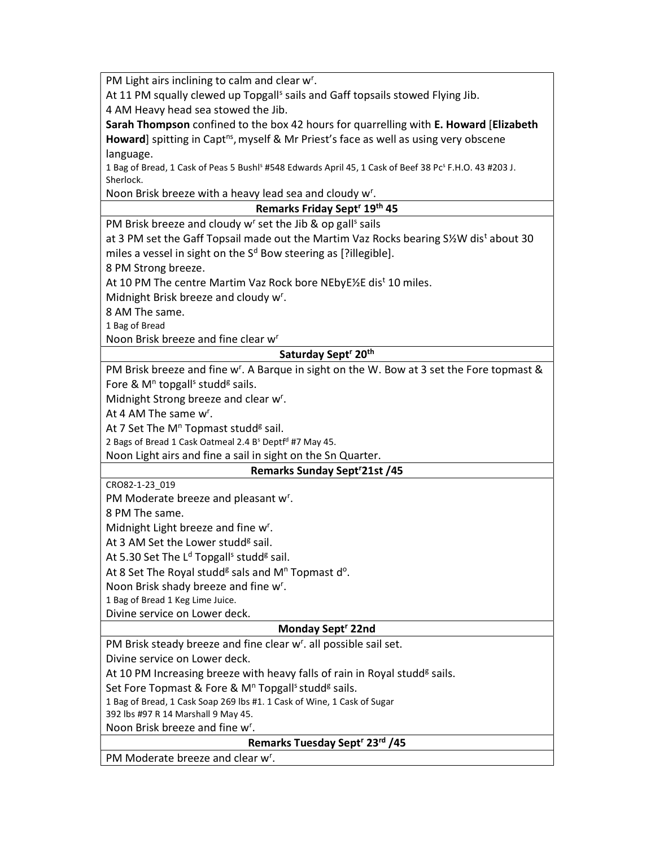PM Light airs inclining to calm and clear w<sup>r</sup>.

At 11 PM squally clewed up Topgall<sup>s</sup> sails and Gaff topsails stowed Flying Jib.

4 AM Heavy head sea stowed the Jib.

Sarah Thompson confined to the box 42 hours for quarrelling with E. Howard [Elizabeth Howard] spitting in Capt<sup>ns</sup>, myself & Mr Priest's face as well as using very obscene language.

1 Bag of Bread, 1 Cask of Peas 5 Bushl<sup>s</sup> #548 Edwards April 45, 1 Cask of Beef 38 Pc<sup>s</sup> F.H.O. 43 #203 J. Sherlock.

Noon Brisk breeze with a heavy lead sea and cloudy w<sup>r</sup>.

Remarks Friday Sept<sup>r</sup> 19<sup>th</sup> 45

PM Brisk breeze and cloudy w<sup>r</sup> set the Jib & op gall<sup>s</sup> sails

at 3 PM set the Gaff Topsail made out the Martim Vaz Rocks bearing S½W dis<sup>t</sup> about 30 miles a vessel in sight on the S<sup>d</sup> Bow steering as [?illegible].

8 PM Strong breeze.

At 10 PM The centre Martim Vaz Rock bore NEbyE½E dis<sup>t</sup> 10 miles.

Midnight Brisk breeze and cloudy w<sup>r</sup>.

8 AM The same.

1 Bag of Bread

Noon Brisk breeze and fine clear w<sup>r</sup>

## Saturday Sept<sup>r</sup> 20<sup>th</sup>

PM Brisk breeze and fine w<sup>r</sup>. A Barque in sight on the W. Bow at 3 set the Fore topmast & Fore & M<sup>n</sup> topgall<sup>s</sup> studd<sup>g</sup> sails.

Midnight Strong breeze and clear w<sup>r</sup>.

At 4 AM The same  $w^r$ .

At 7 Set The M<sup>n</sup> Topmast studd<sup>g</sup> sail.

2 Bags of Bread 1 Cask Oatmeal 2.4 B<sup>s</sup> Deptf<sup>d</sup> #7 May 45.

Noon Light airs and fine a sail in sight on the Sn Quarter.

## Remarks Sunday Sept<sup>r</sup>21st /45

CRO82-1-23\_019

PM Moderate breeze and pleasant w<sup>r</sup>.

8 PM The same.

Midnight Light breeze and fine w<sup>r</sup>.

At 3 AM Set the Lower studd<sup>g</sup> sail.

At 5.30 Set The L<sup>d</sup> Topgall<sup>s</sup> studd<sup>g</sup> sail.

At 8 Set The Royal studd<sup>g</sup> sals and M<sup>n</sup> Topmast d<sup>o</sup>.

Noon Brisk shady breeze and fine w<sup>r</sup>.

1 Bag of Bread 1 Keg Lime Juice.

Divine service on Lower deck.

#### Monday Sept<sup>r</sup> 22nd

PM Brisk steady breeze and fine clear w<sup>r</sup>. all possible sail set.

Divine service on Lower deck.

At 10 PM Increasing breeze with heavy falls of rain in Royal studd<sup>g</sup> sails.

Set Fore Topmast & Fore & M<sup>n</sup> Topgall<sup>s</sup> studd<sup>g</sup> sails.

1 Bag of Bread, 1 Cask Soap 269 lbs #1. 1 Cask of Wine, 1 Cask of Sugar

392 lbs #97 R 14 Marshall 9 May 45.

Noon Brisk breeze and fine w<sup>r</sup>.

Remarks Tuesday Sept<sup>r</sup> 23<sup>rd</sup> /45

PM Moderate breeze and clear w<sup>r</sup>.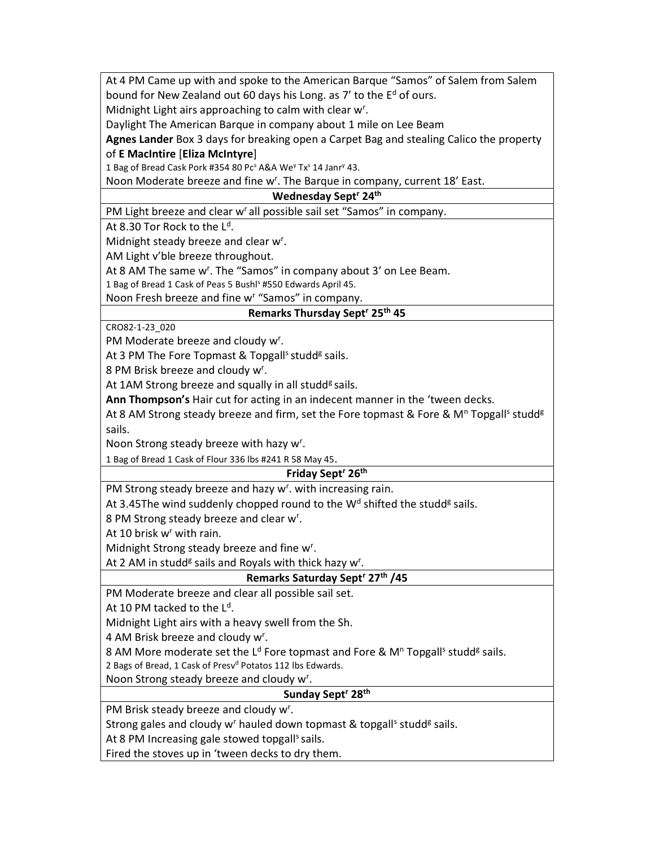At 4 PM Came up with and spoke to the American Barque "Samos" of Salem from Salem bound for New Zealand out 60 days his Long. as 7' to the E<sup>d</sup> of ours.

Midnight Light airs approaching to calm with clear w<sup>r</sup>.

Daylight The American Barque in company about 1 mile on Lee Beam

Agnes Lander Box 3 days for breaking open a Carpet Bag and stealing Calico the property

# of E MacIntire [Eliza McIntyre]

1 Bag of Bread Cask Pork #354 80 Pc<sup>s</sup> A&A We<sup>y</sup> Tx<sup>s</sup> 14 Janr<sup>y</sup> 43.

Noon Moderate breeze and fine w<sup>r</sup>. The Barque in company, current 18' East.

### Wednesday Sept<sup>r</sup> 24<sup>th</sup>

PM Light breeze and clear w' all possible sail set "Samos" in company.

At 8.30 Tor Rock to the  $\mathsf{L}^\mathsf{d}.$ 

Midnight steady breeze and clear w<sup>r</sup>.

AM Light v'ble breeze throughout.

At 8 AM The same w<sup>r</sup>. The "Samos" in company about 3' on Lee Beam.

1 Bag of Bread 1 Cask of Peas 5 Bushl<sup>s</sup> #550 Edwards April 45.

Noon Fresh breeze and fine w<sup>r</sup> "Samos" in company.

# Remarks Thursday Sept<sup>r</sup> 25<sup>th</sup> 45

CRO82-1-23\_020

PM Moderate breeze and cloudy w<sup>r</sup>.

At 3 PM The Fore Topmast & Topgall<sup>s</sup> studd<sup>g</sup> sails.

8 PM Brisk breeze and cloudy w<sup>r</sup>.

At 1AM Strong breeze and squally in all studd<sup>g</sup> sails.

Ann Thompson's Hair cut for acting in an indecent manner in the 'tween decks.

At 8 AM Strong steady breeze and firm, set the Fore topmast & Fore & M<sup>n</sup> Topgall<sup>s</sup> studd<sup>g</sup> sails.

Noon Strong steady breeze with hazy w<sup>r</sup>.

1 Bag of Bread 1 Cask of Flour 336 lbs #241 R 58 May 45.

## Friday Sept<sup>r</sup> 26<sup>th</sup>

PM Strong steady breeze and hazy w<sup>r</sup>. with increasing rain.

At 3.45The wind suddenly chopped round to the  $W^d$  shifted the studd<sup>g</sup> sails.

8 PM Strong steady breeze and clear w<sup>r</sup>.

At 10 brisk w<sup>r</sup> with rain.

Midnight Strong steady breeze and fine w<sup>r</sup>.

At 2 AM in studd<sup>g</sup> sails and Royals with thick hazy w<sup>r</sup>.

## Remarks Saturday Sept<sup>r</sup> 27<sup>th</sup> /45

PM Moderate breeze and clear all possible sail set.

At 10 PM tacked to the  $L<sup>d</sup>$ .

Midnight Light airs with a heavy swell from the Sh.

4 AM Brisk breeze and cloudy w<sup>r</sup>.

8 AM More moderate set the L<sup>d</sup> Fore topmast and Fore & M<sup>n</sup> Topgall<sup>s</sup> studd<sup>g</sup> sails.

2 Bags of Bread, 1 Cask of Presv<sup>d</sup> Potatos 112 lbs Edwards.

Noon Strong steady breeze and cloudy w<sup>r</sup>.

## Sunday Sept<sup>r</sup> 28<sup>th</sup>

PM Brisk steady breeze and cloudy w<sup>r</sup>.

Strong gales and cloudy w<sup>r</sup> hauled down topmast & topgall<sup>s</sup> studd<sup>g</sup> sails.

At 8 PM Increasing gale stowed topgalls sails.

Fired the stoves up in 'tween decks to dry them.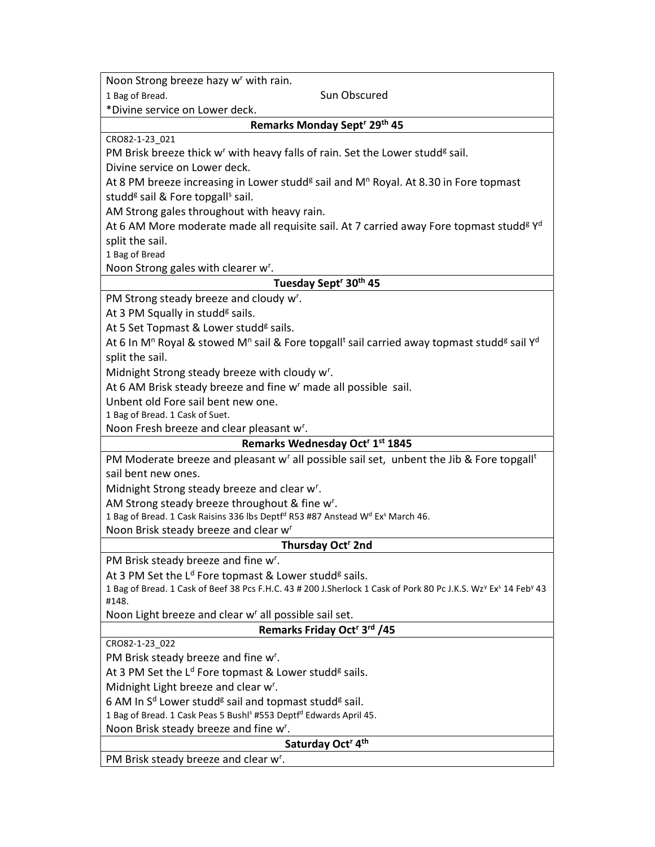Noon Strong breeze hazy w<sup>r</sup> with rain.

1 Bag of Bread. Sun Obscured

\*Divine service on Lower deck.

#### Remarks Monday Sept<sup>r</sup> 29<sup>th</sup> 45

CRO82-1-23\_021

PM Brisk breeze thick w<sup>r</sup> with heavy falls of rain. Set the Lower studd<sup>g</sup> sail.

Divine service on Lower deck.

At 8 PM breeze increasing in Lower studd<sup>g</sup> sail and M<sup>n</sup> Royal. At 8.30 in Fore topmast studd<sup>g</sup> sail & Fore topgall<sup>s</sup> sail.

AM Strong gales throughout with heavy rain.

At 6 AM More moderate made all requisite sail. At 7 carried away Fore topmast studd<sup>g yd</sup> split the sail.

1 Bag of Bread

Noon Strong gales with clearer w<sup>r</sup>.

## Tuesday Sept<sup>r</sup> 30<sup>th</sup> 45

PM Strong steady breeze and cloudy w<sup>r</sup>.

At 3 PM Squally in studd<sup>g</sup> sails.

At 5 Set Topmast & Lower studd<sup>g</sup> sails.

At 6 In M<sup>n</sup> Royal & stowed M<sup>n</sup> sail & Fore topgall<sup>t</sup> sail carried away topmast studd<sup>g</sup> sail Y<sup>d</sup> split the sail.

Midnight Strong steady breeze with cloudy w<sup>r</sup>.

At 6 AM Brisk steady breeze and fine w<sup>r</sup> made all possible sail.

Unbent old Fore sail bent new one.

1 Bag of Bread. 1 Cask of Suet.

Noon Fresh breeze and clear pleasant w<sup>r</sup>.

## Remarks Wednesday Oct<sup>r</sup> 1<sup>st</sup> 1845

PM Moderate breeze and pleasant w<sup>r</sup> all possible sail set, unbent the Jib & Fore topgall<sup>t</sup> sail bent new ones.

Midnight Strong steady breeze and clear w<sup>r</sup>.

AM Strong steady breeze throughout & fine w<sup>r</sup>.

1 Bag of Bread. 1 Cask Raisins 336 lbs Deptf<sup>d</sup> R53 #87 Anstead W<sup>d</sup> Ex<sup>s</sup> March 46.

Noon Brisk steady breeze and clear w<sup>r</sup>

#### Thursday Oct<sup>r</sup> 2nd

PM Brisk steady breeze and fine w<sup>r</sup>.

At 3 PM Set the L<sup>d</sup> Fore topmast & Lower studd<sup>g</sup> sails.

1 Bag of Bread. 1 Cask of Beef 38 Pcs F.H.C. 43 # 200 J.Sherlock 1 Cask of Pork 80 Pc J.K.S. Wz<sup>y</sup> Ex<sup>s</sup> 14 Feb<sup>y</sup> 43 #148.

Noon Light breeze and clear w' all possible sail set.

#### Remarks Friday Oct<sup>r</sup> 3<sup>rd</sup> /45

CRO82-1-23\_022

PM Brisk steady breeze and fine w<sup>r</sup>.

At 3 PM Set the L<sup>d</sup> Fore topmast & Lower studd<sup>g</sup> sails.

Midnight Light breeze and clear w<sup>r</sup>.

6 AM In S<sup>d</sup> Lower studd<sup>g</sup> sail and topmast studd<sup>g</sup> sail.

1 Bag of Bread. 1 Cask Peas 5 Bushl<sup>s</sup> #553 Deptf<sup>d</sup> Edwards April 45.

Noon Brisk steady breeze and fine w<sup>r</sup>.

### Saturday Oct<sup>r</sup> 4<sup>th</sup>

PM Brisk steady breeze and clear w<sup>r</sup>.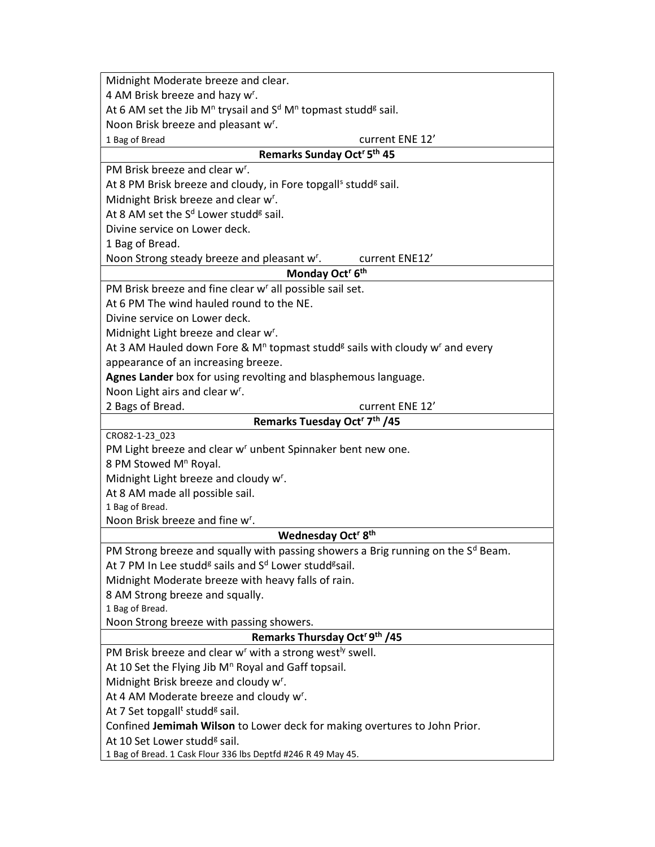| 4 AM Brisk breeze and hazy w <sup>r</sup> .                                                                     |
|-----------------------------------------------------------------------------------------------------------------|
| At 6 AM set the Jib M <sup>n</sup> trysail and $Sd$ M <sup>n</sup> topmast studd <sup>g</sup> sail.             |
| Noon Brisk breeze and pleasant w <sup>r</sup> .                                                                 |
| current ENE 12'<br>1 Bag of Bread                                                                               |
| Remarks Sunday Oct <sup>r</sup> 5 <sup>th</sup> 45                                                              |
| PM Brisk breeze and clear w <sup>r</sup> .                                                                      |
| At 8 PM Brisk breeze and cloudy, in Fore topgall <sup>s</sup> studd <sup>g</sup> sail.                          |
| Midnight Brisk breeze and clear w <sup>r</sup> .                                                                |
| At 8 AM set the S <sup>d</sup> Lower studd <sup>g</sup> sail.                                                   |
| Divine service on Lower deck.                                                                                   |
| 1 Bag of Bread.                                                                                                 |
| Noon Strong steady breeze and pleasant w <sup>r</sup> .<br>current ENE12'                                       |
| Monday Oct <sup>r</sup> 6 <sup>th</sup>                                                                         |
| PM Brisk breeze and fine clear w <sup>r</sup> all possible sail set.                                            |
| At 6 PM The wind hauled round to the NE.                                                                        |
| Divine service on Lower deck.                                                                                   |
| Midnight Light breeze and clear w <sup>r</sup> .                                                                |
| At 3 AM Hauled down Fore & M <sup>n</sup> topmast studd <sup>g</sup> sails with cloudy w <sup>r</sup> and every |
| appearance of an increasing breeze.                                                                             |
| Agnes Lander box for using revolting and blasphemous language.                                                  |
| Noon Light airs and clear w <sup>r</sup> .                                                                      |
| 2 Bags of Bread.<br>current ENE 12'                                                                             |
| Remarks Tuesday Oct <sup>r</sup> 7 <sup>th</sup> /45                                                            |
| CRO82-1-23 023                                                                                                  |
| PM Light breeze and clear w <sup>r</sup> unbent Spinnaker bent new one.                                         |
| 8 PM Stowed M <sup>n</sup> Royal.                                                                               |
| Midnight Light breeze and cloudy w <sup>r</sup> .                                                               |
| At 8 AM made all possible sail.                                                                                 |
| 1 Bag of Bread.                                                                                                 |
|                                                                                                                 |
| Noon Brisk breeze and fine w <sup>r</sup> .                                                                     |
| Wednesday Oct <sup>r</sup> 8 <sup>th</sup>                                                                      |
| PM Strong breeze and squally with passing showers a Brig running on the S <sup>d</sup> Beam.                    |
| At 7 PM In Lee studd <sup>g</sup> sails and S <sup>d</sup> Lower studd <sup>g</sup> sail.                       |
| Midnight Moderate breeze with heavy falls of rain.                                                              |
| 8 AM Strong breeze and squally.                                                                                 |
| 1 Bag of Bread.                                                                                                 |
| Noon Strong breeze with passing showers.                                                                        |
| Remarks Thursday Oct <sup>r 9th</sup> /45                                                                       |
| PM Brisk breeze and clear w <sup>r</sup> with a strong west <sup>ly</sup> swell.                                |
| At 10 Set the Flying Jib M <sup>n</sup> Royal and Gaff topsail.                                                 |
| Midnight Brisk breeze and cloudy w <sup>r</sup> .                                                               |
| At 4 AM Moderate breeze and cloudy w <sup>r</sup> .                                                             |
| At 7 Set topgall <sup>t</sup> studd <sup>g</sup> sail.                                                          |
| Confined Jemimah Wilson to Lower deck for making overtures to John Prior.                                       |
| At 10 Set Lower studd <sup>g</sup> sail.<br>1 Bag of Bread. 1 Cask Flour 336 lbs Deptfd #246 R 49 May 45.       |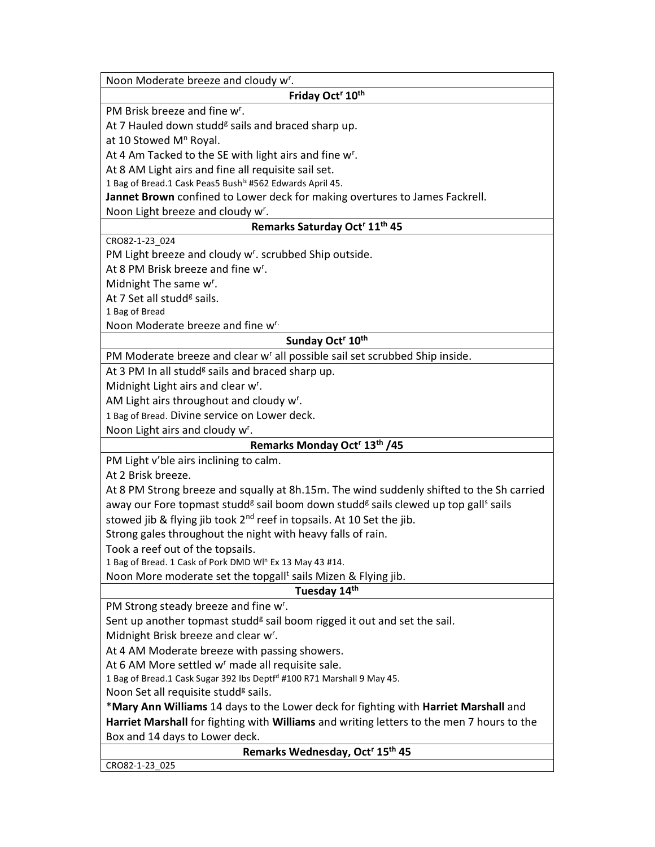| Noon Moderate breeze and cloudy w <sup>r</sup> .                                                                       |
|------------------------------------------------------------------------------------------------------------------------|
| Friday Oct <sup>r</sup> 10 <sup>th</sup>                                                                               |
| PM Brisk breeze and fine w <sup>r</sup> .                                                                              |
| At 7 Hauled down studd <sup>g</sup> sails and braced sharp up.                                                         |
| at 10 Stowed M <sup>n</sup> Royal.                                                                                     |
| At 4 Am Tacked to the SE with light airs and fine w <sup>r</sup> .                                                     |
| At 8 AM Light airs and fine all requisite sail set.                                                                    |
| 1 Bag of Bread.1 Cask Peas5 Bush <sup>ls</sup> #562 Edwards April 45.                                                  |
| Jannet Brown confined to Lower deck for making overtures to James Fackrell.                                            |
| Noon Light breeze and cloudy w <sup>r</sup> .                                                                          |
| Remarks Saturday Oct <sup>r</sup> 11 <sup>th</sup> 45                                                                  |
| CRO82-1-23 024                                                                                                         |
| PM Light breeze and cloudy w <sup>r</sup> . scrubbed Ship outside.                                                     |
| At 8 PM Brisk breeze and fine w <sup>r</sup> .                                                                         |
| Midnight The same w <sup>r</sup> .                                                                                     |
| At 7 Set all studd <sup>g</sup> sails.                                                                                 |
| 1 Bag of Bread                                                                                                         |
| Noon Moderate breeze and fine w <sup>r.</sup>                                                                          |
| Sunday Oct <sup>r</sup> 10 <sup>th</sup>                                                                               |
| PM Moderate breeze and clear w <sup>r</sup> all possible sail set scrubbed Ship inside.                                |
| At 3 PM In all studd <sup>g</sup> sails and braced sharp up.                                                           |
| Midnight Light airs and clear w <sup>r</sup> .                                                                         |
| AM Light airs throughout and cloudy w <sup>r</sup> .                                                                   |
| 1 Bag of Bread. Divine service on Lower deck.                                                                          |
| Noon Light airs and cloudy w <sup>r</sup> .                                                                            |
| Remarks Monday Oct <sup>r</sup> 13 <sup>th</sup> /45                                                                   |
| PM Light v'ble airs inclining to calm.                                                                                 |
| At 2 Brisk breeze.                                                                                                     |
| At 8 PM Strong breeze and squally at 8h.15m. The wind suddenly shifted to the Sh carried                               |
| away our Fore topmast studd <sup>g</sup> sail boom down studd <sup>g</sup> sails clewed up top gall <sup>s</sup> sails |
| stowed jib & flying jib took 2 <sup>nd</sup> reef in topsails. At 10 Set the jib.                                      |
| Strong gales throughout the night with heavy falls of rain.                                                            |
| Took a reef out of the topsails.                                                                                       |
| 1 Bag of Bread. 1 Cask of Pork DMD WI" Ex 13 May 43 #14.                                                               |
| Noon More moderate set the topgall <sup>t</sup> sails Mizen & Flying jib.                                              |
| Tuesday 14th                                                                                                           |
| PM Strong steady breeze and fine w <sup>r</sup> .                                                                      |
| Sent up another topmast studd <sup>g</sup> sail boom rigged it out and set the sail.                                   |
| Midnight Brisk breeze and clear w <sup>r</sup> .                                                                       |
| At 4 AM Moderate breeze with passing showers.                                                                          |
| At 6 AM More settled w <sup>r</sup> made all requisite sale.                                                           |
| 1 Bag of Bread.1 Cask Sugar 392 lbs Deptfd #100 R71 Marshall 9 May 45.                                                 |
| Noon Set all requisite studd <sup>g</sup> sails.                                                                       |
| *Mary Ann Williams 14 days to the Lower deck for fighting with Harriet Marshall and                                    |
| Harriet Marshall for fighting with Williams and writing letters to the men 7 hours to the                              |
| Box and 14 days to Lower deck.                                                                                         |
| Remarks Wednesday, Oct <sup>r</sup> 15 <sup>th</sup> 45                                                                |
| CRO82-1-23_025                                                                                                         |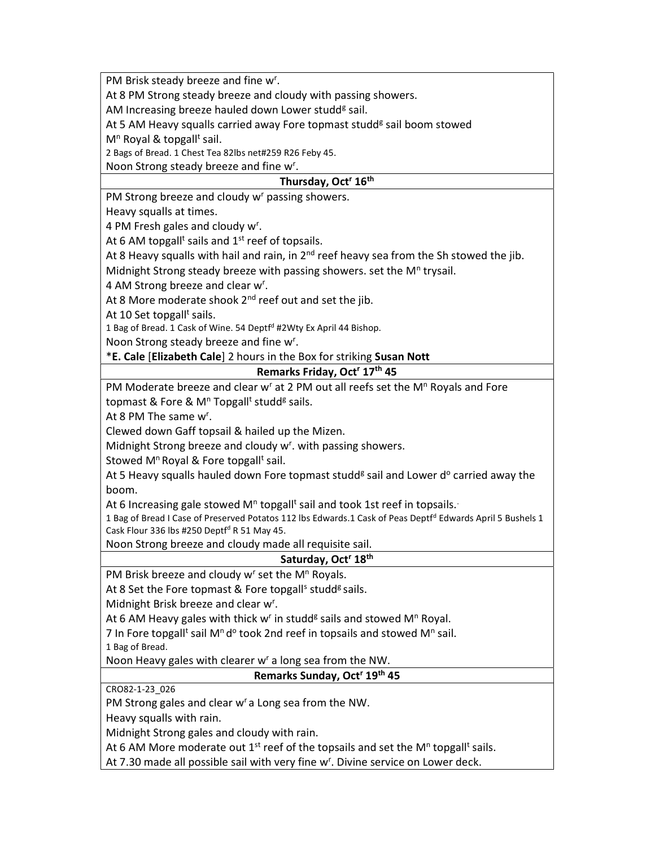PM Brisk steady breeze and fine w<sup>r</sup>.

At 8 PM Strong steady breeze and cloudy with passing showers.

AM Increasing breeze hauled down Lower studd<sup>g</sup> sail.

At 5 AM Heavy squalls carried away Fore topmast studd<sup>g</sup> sail boom stowed

M<sup>n</sup> Royal & topgall<sup>t</sup> sail.

2 Bags of Bread. 1 Chest Tea 82lbs net#259 R26 Feby 45.

Noon Strong steady breeze and fine w<sup>r</sup>.

## Thursday, Oct<sup>r</sup> 16<sup>th</sup>

PM Strong breeze and cloudy w<sup>r</sup> passing showers.

Heavy squalls at times.

4 PM Fresh gales and cloudy w<sup>r</sup>.

At 6 AM topgall<sup>t</sup> sails and  $1<sup>st</sup>$  reef of topsails.

At 8 Heavy squalls with hail and rain, in  $2<sup>nd</sup>$  reef heavy sea from the Sh stowed the jib.

Midnight Strong steady breeze with passing showers. set the M<sup>n</sup> trysail.

4 AM Strong breeze and clear w<sup>r</sup>.

At 8 More moderate shook  $2^{nd}$  reef out and set the jib.

At 10 Set topgall<sup>t</sup> sails.

1 Bag of Bread. 1 Cask of Wine. 54 Deptf<sup>d</sup> #2Wty Ex April 44 Bishop.

Noon Strong steady breeze and fine w<sup>r</sup>.

\*E. Cale [Elizabeth Cale] 2 hours in the Box for striking Susan Nott

#### Remarks Friday, Oct<sup>r</sup> 17<sup>th</sup> 45

PM Moderate breeze and clear w<sup>r</sup> at 2 PM out all reefs set the M<sup>n</sup> Royals and Fore topmast & Fore & M<sup>n</sup> Topgall<sup>t</sup> studd<sup>g</sup> sails.

At 8 PM The same  $w^r$ .

Clewed down Gaff topsail & hailed up the Mizen.

Midnight Strong breeze and cloudy w<sup>r</sup>. with passing showers.

Stowed M<sup>n</sup> Royal & Fore topgall<sup>t</sup> sail.

At 5 Heavy squalls hauled down Fore topmast studd<sup>g</sup> sail and Lower d<sup>o</sup> carried away the boom.

At 6 Increasing gale stowed M<sup>n</sup> topgall<sup>t</sup> sail and took 1st reef in topsails.

1 Bag of Bread I Case of Preserved Potatos 112 lbs Edwards.1 Cask of Peas Deptf<sup>d</sup> Edwards April 5 Bushels 1 Cask Flour 336 lbs #250 Deptf<sup>d</sup> R 51 May 45.

Noon Strong breeze and cloudy made all requisite sail.

#### Saturday, Oct<sup>r</sup> 18th

PM Brisk breeze and cloudy w<sup>r</sup> set the M<sup>n</sup> Royals.

At 8 Set the Fore topmast & Fore topgall<sup>s</sup> studd<sup>g</sup> sails.

Midnight Brisk breeze and clear w<sup>r</sup>.

At 6 AM Heavy gales with thick w<sup>r</sup> in studd<sup>g</sup> sails and stowed M<sup>n</sup> Royal.

7 In Fore topgall<sup>t</sup> sail M<sup>n</sup> d<sup>o</sup> took 2nd reef in topsails and stowed M<sup>n</sup> sail.

1 Bag of Bread.

Noon Heavy gales with clearer  $w<sup>r</sup>$  a long sea from the NW.

## Remarks Sunday, Oct<sup>r</sup> 19<sup>th</sup> 45

CRO82-1-23\_026

PM Strong gales and clear w<sup>r</sup> a Long sea from the NW.

Heavy squalls with rain.

Midnight Strong gales and cloudy with rain.

At 6 AM More moderate out 1<sup>st</sup> reef of the topsails and set the M<sup>n</sup> topgall<sup>t</sup> sails.

At 7.30 made all possible sail with very fine w<sup>r</sup>. Divine service on Lower deck.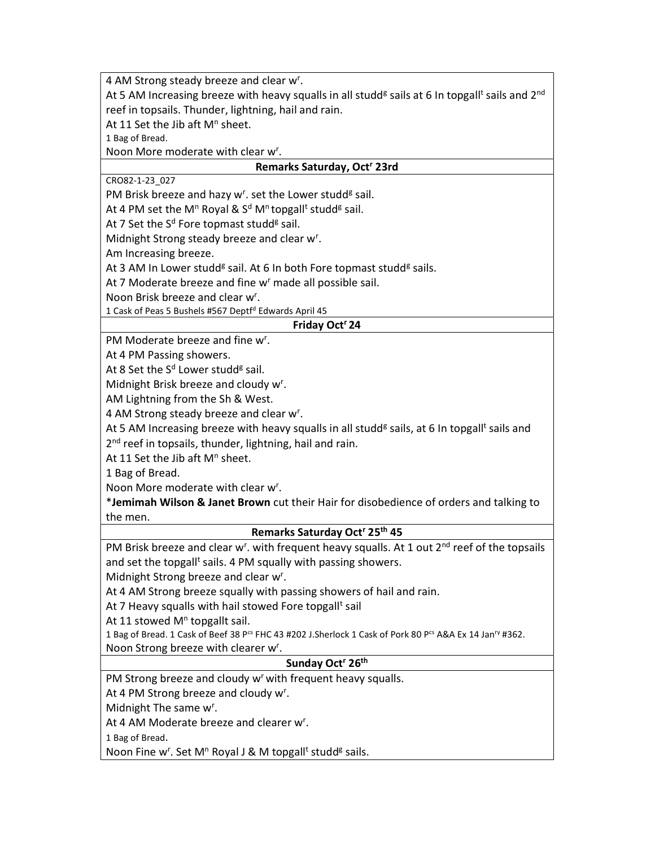4 AM Strong steady breeze and clear w<sup>r</sup>.

At 5 AM Increasing breeze with heavy squalls in all studd<sup>g</sup> sails at 6 In topgall<sup>t</sup> sails and 2<sup>nd</sup> reef in topsails. Thunder, lightning, hail and rain.

At 11 Set the Jib aft  $M^n$  sheet.

1 Bag of Bread.

Noon More moderate with clear w<sup>r</sup>.

## Remarks Saturday, Oct<sup>r</sup> 23rd

CRO82-1-23\_027

PM Brisk breeze and hazy w<sup>r</sup>. set the Lower studd<sup>g</sup> sail.

At 4 PM set the M<sup>n</sup> Royal & S<sup>d</sup> M<sup>n</sup> topgall<sup>t</sup> studd<sup>g</sup> sail.

At 7 Set the S<sup>d</sup> Fore topmast studd<sup>g</sup> sail.

Midnight Strong steady breeze and clear w<sup>r</sup>.

Am Increasing breeze.

At 3 AM In Lower studd<sup>g</sup> sail. At 6 In both Fore topmast studd<sup>g</sup> sails.

At 7 Moderate breeze and fine w<sup>r</sup> made all possible sail.

Noon Brisk breeze and clear w<sup>r</sup>.

1 Cask of Peas 5 Bushels #567 Deptf<sup>d</sup> Edwards April 45

#### Friday Oct<sup>r</sup> 24

PM Moderate breeze and fine w<sup>r</sup>.

At 4 PM Passing showers.

At 8 Set the S<sup>d</sup> Lower studd<sup>g</sup> sail.

Midnight Brisk breeze and cloudy w<sup>r</sup>.

AM Lightning from the Sh & West.

4 AM Strong steady breeze and clear w<sup>r</sup>.

At 5 AM Increasing breeze with heavy squalls in all studd<sup>g</sup> sails, at 6 In topgall<sup>t</sup> sails and

2<sup>nd</sup> reef in topsails, thunder, lightning, hail and rain.

At 11 Set the Jib aft  $M^n$  sheet.

1 Bag of Bread.

Noon More moderate with clear w<sup>r</sup>.

\*Jemimah Wilson & Janet Brown cut their Hair for disobedience of orders and talking to the men.

## Remarks Saturday Oct<sup>r</sup> 25<sup>th</sup> 45

PM Brisk breeze and clear w<sup>r</sup>. with frequent heavy squalls. At 1 out 2<sup>nd</sup> reef of the topsails and set the topgall<sup>t</sup> sails. 4 PM squally with passing showers.

Midnight Strong breeze and clear w<sup>r</sup>.

At 4 AM Strong breeze squally with passing showers of hail and rain.

At 7 Heavy squalls with hail stowed Fore topgall<sup>t</sup> sail

At 11 stowed M<sup>n</sup> topgallt sail.

1 Bag of Bread. 1 Cask of Beef 38 P<sup>cs</sup> FHC 43 #202 J.Sherlock 1 Cask of Pork 80 P<sup>cs</sup> A&A Ex 14 Jan<sup>ry</sup> #362. Noon Strong breeze with clearer w<sup>r</sup>.

#### Sunday Oct<sup>r</sup> 26<sup>th</sup>

PM Strong breeze and cloudy w<sup>r</sup> with frequent heavy squalls.

At 4 PM Strong breeze and cloudy w<sup>r</sup>.

Midnight The same w<sup>r</sup>.

At 4 AM Moderate breeze and clearer w<sup>r</sup>.

1 Bag of Bread.

Noon Fine w<sup>r</sup>. Set M<sup>n</sup> Royal J & M topgall<sup>t</sup> studd<sup>g</sup> sails.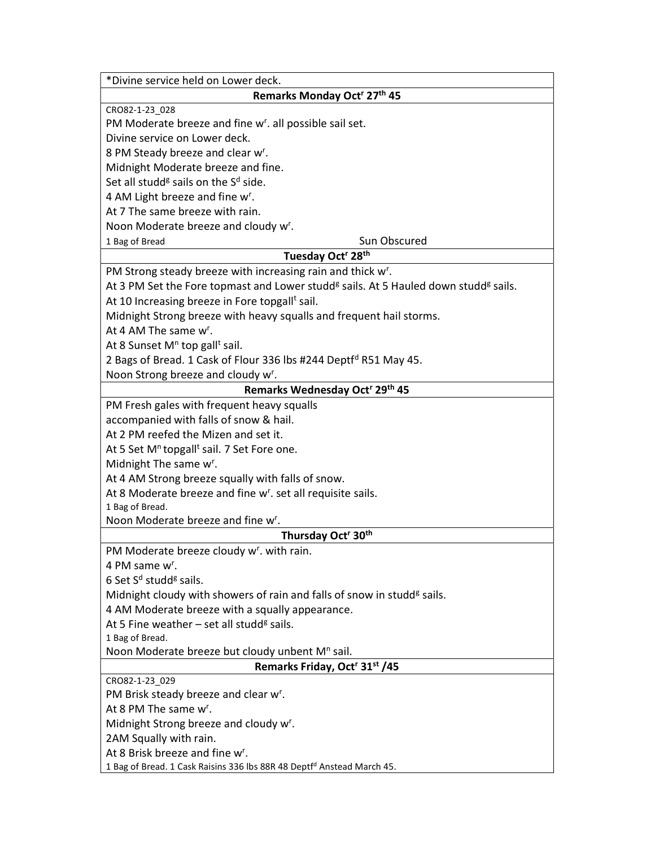| *Divine service held on Lower deck.                                                                         |  |  |  |  |
|-------------------------------------------------------------------------------------------------------------|--|--|--|--|
| Remarks Monday Oct <sup>r</sup> 27 <sup>th</sup> 45                                                         |  |  |  |  |
| CRO82-1-23_028                                                                                              |  |  |  |  |
| PM Moderate breeze and fine w <sup>r</sup> . all possible sail set.                                         |  |  |  |  |
| Divine service on Lower deck.                                                                               |  |  |  |  |
| 8 PM Steady breeze and clear w <sup>r</sup> .                                                               |  |  |  |  |
| Midnight Moderate breeze and fine.                                                                          |  |  |  |  |
| Set all studd <sup>g</sup> sails on the S <sup>d</sup> side.                                                |  |  |  |  |
| 4 AM Light breeze and fine w <sup>r</sup> .                                                                 |  |  |  |  |
| At 7 The same breeze with rain.                                                                             |  |  |  |  |
| Noon Moderate breeze and cloudy w <sup>r</sup> .                                                            |  |  |  |  |
| Sun Obscured<br>1 Bag of Bread                                                                              |  |  |  |  |
| Tuesday Oct <sup>r</sup> 28 <sup>th</sup>                                                                   |  |  |  |  |
| PM Strong steady breeze with increasing rain and thick w <sup>r</sup> .                                     |  |  |  |  |
| At 3 PM Set the Fore topmast and Lower studd <sup>g</sup> sails. At 5 Hauled down studd <sup>g</sup> sails. |  |  |  |  |
| At 10 Increasing breeze in Fore topgall <sup>t</sup> sail.                                                  |  |  |  |  |
| Midnight Strong breeze with heavy squalls and frequent hail storms.                                         |  |  |  |  |
| At 4 AM The same w <sup>r</sup> .                                                                           |  |  |  |  |
| At 8 Sunset $M^n$ top gall <sup>t</sup> sail.                                                               |  |  |  |  |
|                                                                                                             |  |  |  |  |
| 2 Bags of Bread. 1 Cask of Flour 336 lbs #244 Deptfd R51 May 45.                                            |  |  |  |  |
| Noon Strong breeze and cloudy w <sup>r</sup> .                                                              |  |  |  |  |
| Remarks Wednesday Oct <sup>r</sup> 29th 45                                                                  |  |  |  |  |
| PM Fresh gales with frequent heavy squalls                                                                  |  |  |  |  |
| accompanied with falls of snow & hail.                                                                      |  |  |  |  |
| At 2 PM reefed the Mizen and set it.                                                                        |  |  |  |  |
| At 5 Set M <sup>n</sup> topgall <sup>t</sup> sail. 7 Set Fore one.                                          |  |  |  |  |
| Midnight The same w <sup>r</sup> .                                                                          |  |  |  |  |
| At 4 AM Strong breeze squally with falls of snow.                                                           |  |  |  |  |
| At 8 Moderate breeze and fine w <sup>r</sup> . set all requisite sails.                                     |  |  |  |  |
| 1 Bag of Bread.                                                                                             |  |  |  |  |
| Noon Moderate breeze and fine w <sup>r</sup> .                                                              |  |  |  |  |
| Thursday Oct <sup>r</sup> 30 <sup>th</sup>                                                                  |  |  |  |  |
| PM Moderate breeze cloudy w <sup>r</sup> . with rain.                                                       |  |  |  |  |
| 4 PM same w <sup>r</sup> .                                                                                  |  |  |  |  |
| 6 Set S <sup>d</sup> studd <sup>g</sup> sails.                                                              |  |  |  |  |
| Midnight cloudy with showers of rain and falls of snow in studd <sup>g</sup> sails.                         |  |  |  |  |
| 4 AM Moderate breeze with a squally appearance.                                                             |  |  |  |  |
| At 5 Fine weather $-$ set all studd <sup>g</sup> sails.                                                     |  |  |  |  |
| 1 Bag of Bread.                                                                                             |  |  |  |  |
| Noon Moderate breeze but cloudy unbent M <sup>n</sup> sail.                                                 |  |  |  |  |
| Remarks Friday, Oct <sup>r</sup> 31 <sup>st</sup> /45                                                       |  |  |  |  |
| CRO82-1-23_029                                                                                              |  |  |  |  |
| PM Brisk steady breeze and clear w <sup>r</sup> .<br>At 8 PM The same w <sup>r</sup> .                      |  |  |  |  |
|                                                                                                             |  |  |  |  |
| Midnight Strong breeze and cloudy w <sup>r</sup> .                                                          |  |  |  |  |
| 2AM Squally with rain.                                                                                      |  |  |  |  |
| At 8 Brisk breeze and fine w <sup>r</sup> .                                                                 |  |  |  |  |
| 1 Bag of Bread. 1 Cask Raisins 336 lbs 88R 48 Deptfd Anstead March 45.                                      |  |  |  |  |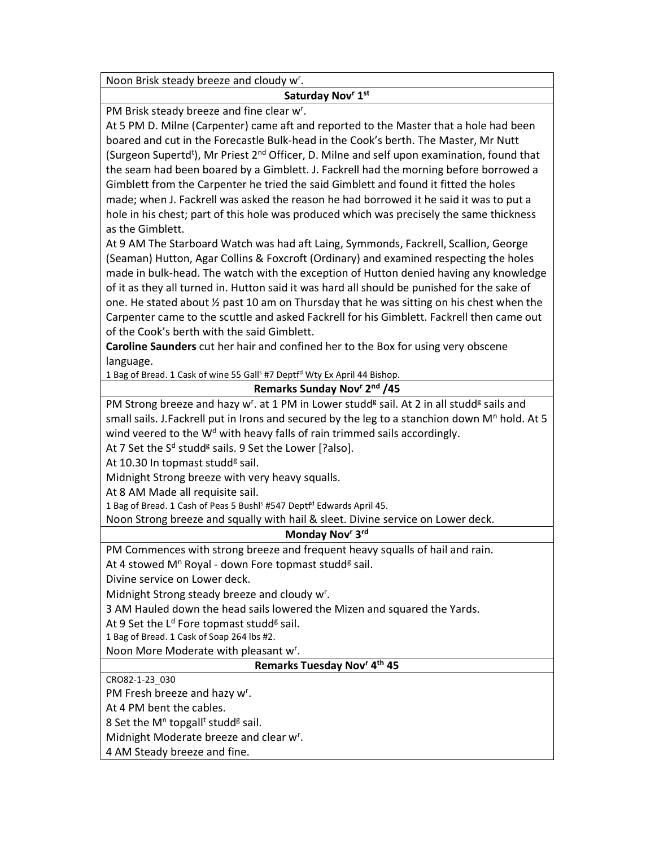Noon Brisk steady breeze and cloudy w<sup>r</sup>.

## Saturday Nov<sup>r</sup> 1<sup>st</sup>

PM Brisk steady breeze and fine clear w<sup>r</sup>.

At 5 PM D. Milne (Carpenter) came aft and reported to the Master that a hole had been boared and cut in the Forecastle Bulk-head in the Cook's berth. The Master, Mr Nutt (Surgeon Supertd<sup>t</sup>), Mr Priest 2<sup>nd</sup> Officer, D. Milne and self upon examination, found that the seam had been boared by a Gimblett. J. Fackrell had the morning before borrowed a Gimblett from the Carpenter he tried the said Gimblett and found it fitted the holes made; when J. Fackrell was asked the reason he had borrowed it he said it was to put a hole in his chest; part of this hole was produced which was precisely the same thickness as the Gimblett.

At 9 AM The Starboard Watch was had aft Laing, Symmonds, Fackrell, Scallion, George (Seaman) Hutton, Agar Collins & Foxcroft (Ordinary) and examined respecting the holes made in bulk-head. The watch with the exception of Hutton denied having any knowledge of it as they all turned in. Hutton said it was hard all should be punished for the sake of one. He stated about  $\frac{1}{2}$  past 10 am on Thursday that he was sitting on his chest when the Carpenter came to the scuttle and asked Fackrell for his Gimblett. Fackrell then came out of the Cook's berth with the said Gimblett.

Caroline Saunders cut her hair and confined her to the Box for using very obscene language.

1 Bag of Bread. 1 Cask of wine 55 Gall<sup>s</sup> #7 Deptf<sup>d</sup> Wty Ex April 44 Bishop.

## Remarks Sunday Nov<sup>r</sup> 2<sup>nd</sup> /45

PM Strong breeze and hazy w<sup>r</sup>. at 1 PM in Lower studd<sup>g</sup> sail. At 2 in all studd<sup>g</sup> sails and small sails. J.Fackrell put in Irons and secured by the leg to a stanchion down  $M^n$  hold. At 5 wind veered to the  $W<sup>d</sup>$  with heavy falls of rain trimmed sails accordingly.

At 7 Set the S<sup>d</sup> studd<sup>g</sup> sails. 9 Set the Lower [?also].

At 10.30 In topmast studd<sup>g</sup> sail.

Midnight Strong breeze with very heavy squalls.

At 8 AM Made all requisite sail.

1 Bag of Bread. 1 Cash of Peas 5 Bushl<sup>s</sup> #547 Deptf<sup>d</sup> Edwards April 45.

Noon Strong breeze and squally with hail & sleet. Divine service on Lower deck.

## Monday Nov<sup>r</sup> 3<sup>rd</sup>

PM Commences with strong breeze and frequent heavy squalls of hail and rain. At 4 stowed M<sup>n</sup> Royal - down Fore topmast studd<sup>g</sup> sail.

Divine service on Lower deck.

Midnight Strong steady breeze and cloudy w<sup>r</sup>.

3 AM Hauled down the head sails lowered the Mizen and squared the Yards.

At 9 Set the L<sup>d</sup> Fore topmast studd<sup>g</sup> sail.

1 Bag of Bread. 1 Cask of Soap 264 lbs #2.

Noon More Moderate with pleasant w<sup>r</sup>.

Remarks Tuesday Nov<sup>r</sup> 4<sup>th</sup> 45

CRO82-1-23\_030

PM Fresh breeze and hazy w<sup>r</sup>.

At 4 PM bent the cables.

8 Set the M<sup>n</sup> topgall<sup>t</sup> studd<sup>g</sup> sail.

Midnight Moderate breeze and clear w<sup>r</sup>.

4 AM Steady breeze and fine.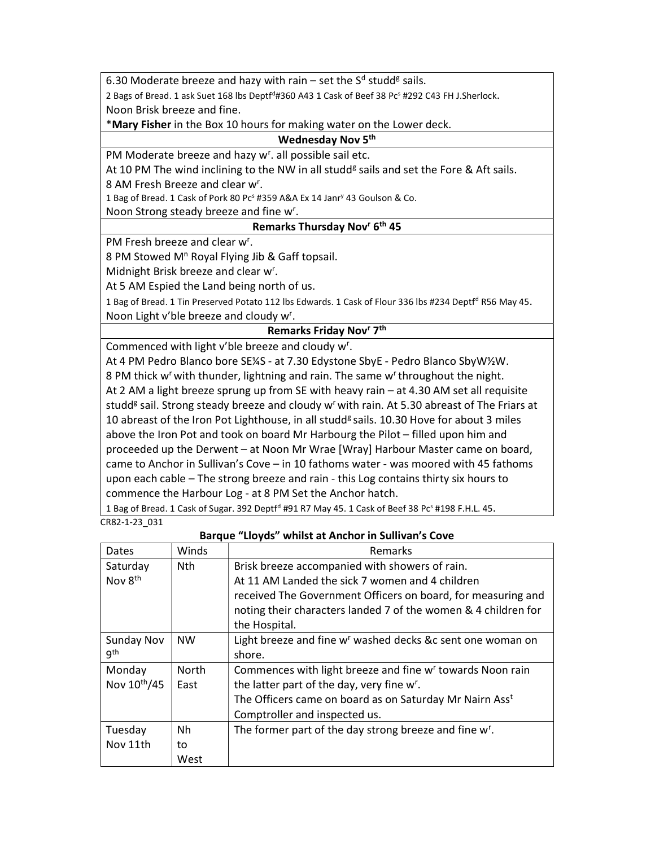6.30 Moderate breeze and hazy with rain – set the S<sup>d</sup> studd<sup>g</sup> sails.

2 Bags of Bread. 1 ask Suet 168 lbs Deptf<sup>d</sup>#360 A43 1 Cask of Beef 38 Pc<sup>s</sup> #292 C43 FH J.Sherlock. Noon Brisk breeze and fine.

\*Mary Fisher in the Box 10 hours for making water on the Lower deck.

### Wednesday Nov 5<sup>th</sup>

PM Moderate breeze and hazy w<sup>r</sup>. all possible sail etc.

At 10 PM The wind inclining to the NW in all studd<sup>g</sup> sails and set the Fore & Aft sails.

8 AM Fresh Breeze and clear w<sup>r</sup>.

1 Bag of Bread. 1 Cask of Pork 80 Pc<sup>s</sup> #359 A&A Ex 14 Janr<sup>y</sup> 43 Goulson & Co.

Noon Strong steady breeze and fine w<sup>r</sup>.

#### Remarks Thursday Nov<sup>r</sup> 6<sup>th</sup> 45

PM Fresh breeze and clear w<sup>r</sup>.

8 PM Stowed M<sup>n</sup> Royal Flying Jib & Gaff topsail.

Midnight Brisk breeze and clear w<sup>r</sup>.

At 5 AM Espied the Land being north of us.

1 Bag of Bread. 1 Tin Preserved Potato 112 lbs Edwards. 1 Cask of Flour 336 lbs #234 Deptf<sup>d</sup> R56 May 45. Noon Light v'ble breeze and cloudy w<sup>r</sup>.

#### Remarks Friday Nov<sup>r</sup> 7<sup>th</sup>

Commenced with light v'ble breeze and cloudy w<sup>r</sup>.

At 4 PM Pedro Blanco bore SE¼S - at 7.30 Edystone SbyE - Pedro Blanco SbyW½W. 8 PM thick w<sup>r</sup> with thunder, lightning and rain. The same w<sup>r</sup> throughout the night. At 2 AM a light breeze sprung up from SE with heavy rain – at 4.30 AM set all requisite studd<sup>g</sup> sail. Strong steady breeze and cloudy w<sup>r</sup> with rain. At 5.30 abreast of The Friars at 10 abreast of the Iron Pot Lighthouse, in all studd<sup>g</sup> sails. 10.30 Hove for about 3 miles above the Iron Pot and took on board Mr Harbourg the Pilot – filled upon him and proceeded up the Derwent – at Noon Mr Wrae [Wray] Harbour Master came on board, came to Anchor in Sullivan's Cove – in 10 fathoms water - was moored with 45 fathoms upon each cable – The strong breeze and rain - this Log contains thirty six hours to commence the Harbour Log - at 8 PM Set the Anchor hatch.

1 Bag of Bread. 1 Cask of Sugar. 392 Deptf<sup>d</sup> #91 R7 May 45. 1 Cask of Beef 38 Pc<sup>s</sup> #198 F.H.L. 45. CR82-1-23\_031

| Dates               | Winds        | Remarks                                                                |
|---------------------|--------------|------------------------------------------------------------------------|
| Saturday            | Nth.         | Brisk breeze accompanied with showers of rain.                         |
| Nov 8 <sup>th</sup> |              | At 11 AM Landed the sick 7 women and 4 children                        |
|                     |              | received The Government Officers on board, for measuring and           |
|                     |              | noting their characters landed 7 of the women & 4 children for         |
|                     |              | the Hospital.                                                          |
| <b>Sunday Nov</b>   | <b>NW</b>    | Light breeze and fine w <sup>r</sup> washed decks &c sent one woman on |
| gth                 |              | shore.                                                                 |
| Monday              | <b>North</b> | Commences with light breeze and fine w <sup>r</sup> towards Noon rain  |
| Nov 10th/45         | East         | the latter part of the day, very fine w <sup>r</sup> .                 |
|                     |              | The Officers came on board as on Saturday Mr Nairn Ass <sup>t</sup>    |
|                     |              | Comptroller and inspected us.                                          |
| Tuesday             | Nh           | The former part of the day strong breeze and fine w <sup>r</sup> .     |
| Nov 11th            | to           |                                                                        |
|                     | West         |                                                                        |

Barque "Lloyds" whilst at Anchor in Sullivan's Cove